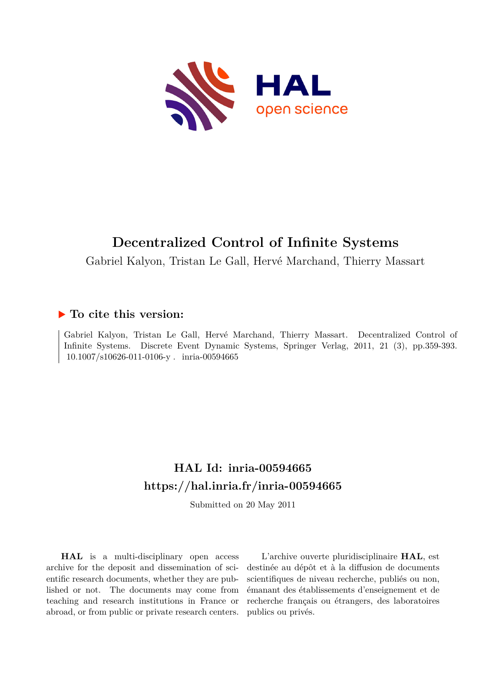

# **Decentralized Control of Infinite Systems**

Gabriel Kalyon, Tristan Le Gall, Hervé Marchand, Thierry Massart

# **To cite this version:**

Gabriel Kalyon, Tristan Le Gall, Hervé Marchand, Thierry Massart. Decentralized Control of Infinite Systems. Discrete Event Dynamic Systems, Springer Verlag, 2011, 21 (3), pp.359-393.  $10.1007/s10626-011-0106$ -y. inria-00594665

# **HAL Id: inria-00594665 <https://hal.inria.fr/inria-00594665>**

Submitted on 20 May 2011

**HAL** is a multi-disciplinary open access archive for the deposit and dissemination of scientific research documents, whether they are published or not. The documents may come from teaching and research institutions in France or abroad, or from public or private research centers.

L'archive ouverte pluridisciplinaire **HAL**, est destinée au dépôt et à la diffusion de documents scientifiques de niveau recherche, publiés ou non, émanant des établissements d'enseignement et de recherche français ou étrangers, des laboratoires publics ou privés.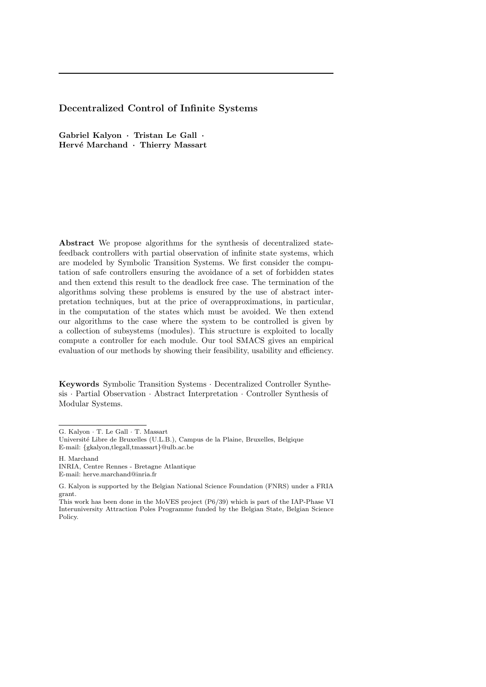# Decentralized Control of Infinite Systems

Gabriel Kalyon · Tristan Le Gall · Hervé Marchand · Thierry Massart

Abstract We propose algorithms for the synthesis of decentralized statefeedback controllers with partial observation of infinite state systems, which are modeled by Symbolic Transition Systems. We first consider the computation of safe controllers ensuring the avoidance of a set of forbidden states and then extend this result to the deadlock free case. The termination of the algorithms solving these problems is ensured by the use of abstract interpretation techniques, but at the price of overapproximations, in particular, in the computation of the states which must be avoided. We then extend our algorithms to the case where the system to be controlled is given by a collection of subsystems (modules). This structure is exploited to locally compute a controller for each module. Our tool SMACS gives an empirical evaluation of our methods by showing their feasibility, usability and efficiency.

Keywords Symbolic Transition Systems · Decentralized Controller Synthesis · Partial Observation · Abstract Interpretation · Controller Synthesis of Modular Systems.

G. Kalyon · T. Le Gall · T. Massart

Universit´e Libre de Bruxelles (U.L.B.), Campus de la Plaine, Bruxelles, Belgique E-mail: {gkalyon,tlegall,tmassart}@ulb.ac.be

H. Marchand

INRIA, Centre Rennes - Bretagne Atlantique

E-mail: herve.marchand@inria.fr

G. Kalyon is supported by the Belgian National Science Foundation (FNRS) under a FRIA grant.

This work has been done in the MoVES project (P6/39) which is part of the IAP-Phase VI Interuniversity Attraction Poles Programme funded by the Belgian State, Belgian Science Policy.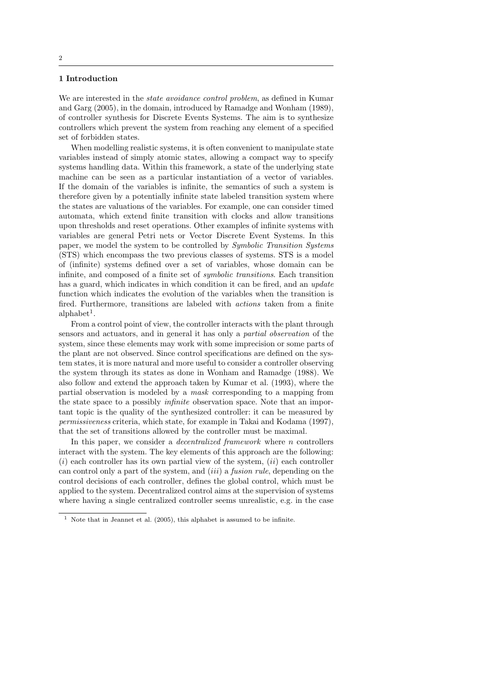# 1 Introduction

We are interested in the *state avoidance control problem*, as defined in Kumar and Garg (2005), in the domain, introduced by Ramadge and Wonham (1989), of controller synthesis for Discrete Events Systems. The aim is to synthesize controllers which prevent the system from reaching any element of a specified set of forbidden states.

When modelling realistic systems, it is often convenient to manipulate state variables instead of simply atomic states, allowing a compact way to specify systems handling data. Within this framework, a state of the underlying state machine can be seen as a particular instantiation of a vector of variables. If the domain of the variables is infinite, the semantics of such a system is therefore given by a potentially infinite state labeled transition system where the states are valuations of the variables. For example, one can consider timed automata, which extend finite transition with clocks and allow transitions upon thresholds and reset operations. Other examples of infinite systems with variables are general Petri nets or Vector Discrete Event Systems. In this paper, we model the system to be controlled by Symbolic Transition Systems (STS) which encompass the two previous classes of systems. STS is a model of (infinite) systems defined over a set of variables, whose domain can be infinite, and composed of a finite set of symbolic transitions. Each transition has a guard, which indicates in which condition it can be fired, and an *update* function which indicates the evolution of the variables when the transition is fired. Furthermore, transitions are labeled with actions taken from a finite  $alphabet<sup>1</sup>$ .

From a control point of view, the controller interacts with the plant through sensors and actuators, and in general it has only a partial observation of the system, since these elements may work with some imprecision or some parts of the plant are not observed. Since control specifications are defined on the system states, it is more natural and more useful to consider a controller observing the system through its states as done in Wonham and Ramadge (1988). We also follow and extend the approach taken by Kumar et al. (1993), where the partial observation is modeled by a mask corresponding to a mapping from the state space to a possibly infinite observation space. Note that an important topic is the quality of the synthesized controller: it can be measured by permissiveness criteria, which state, for example in Takai and Kodama (1997), that the set of transitions allowed by the controller must be maximal.

In this paper, we consider a *decentralized framework* where  $n$  controllers interact with the system. The key elements of this approach are the following:  $(i)$  each controller has its own partial view of the system,  $(ii)$  each controller can control only a part of the system, and  $(iii)$  a *fusion rule*, depending on the control decisions of each controller, defines the global control, which must be applied to the system. Decentralized control aims at the supervision of systems where having a single centralized controller seems unrealistic, e.g. in the case

 $1$  Note that in Jeannet et al. (2005), this alphabet is assumed to be infinite.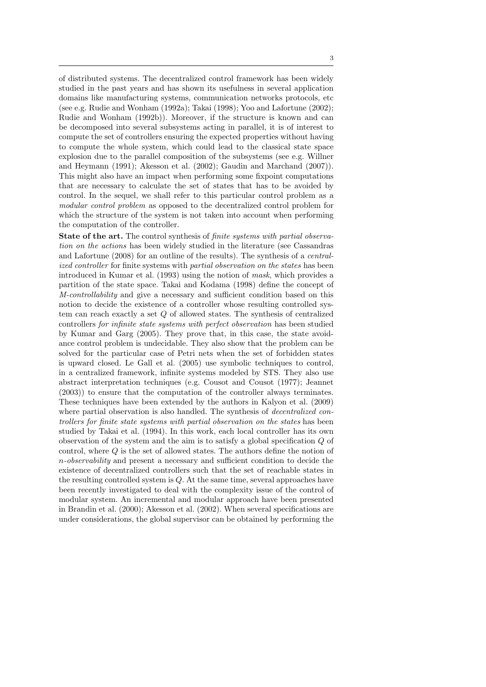of distributed systems. The decentralized control framework has been widely studied in the past years and has shown its usefulness in several application domains like manufacturing systems, communication networks protocols, etc (see e.g. Rudie and Wonham (1992a); Takai (1998); Yoo and Lafortune (2002); Rudie and Wonham (1992b)). Moreover, if the structure is known and can be decomposed into several subsystems acting in parallel, it is of interest to compute the set of controllers ensuring the expected properties without having to compute the whole system, which could lead to the classical state space explosion due to the parallel composition of the subsystems (see e.g. Willner and Heymann (1991); Akesson et al. (2002); Gaudin and Marchand (2007)). This might also have an impact when performing some fixpoint computations that are necessary to calculate the set of states that has to be avoided by control. In the sequel, we shall refer to this particular control problem as a modular control problem as opposed to the decentralized control problem for which the structure of the system is not taken into account when performing the computation of the controller.

State of the art. The control synthesis of *finite systems with partial observa*tion on the actions has been widely studied in the literature (see Cassandras and Lafortune (2008) for an outline of the results). The synthesis of a centralized controller for finite systems with partial observation on the states has been introduced in Kumar et al. (1993) using the notion of mask, which provides a partition of the state space. Takai and Kodama (1998) define the concept of M-controllability and give a necessary and sufficient condition based on this notion to decide the existence of a controller whose resulting controlled system can reach exactly a set Q of allowed states. The synthesis of centralized controllers for infinite state systems with perfect observation has been studied by Kumar and Garg (2005). They prove that, in this case, the state avoidance control problem is undecidable. They also show that the problem can be solved for the particular case of Petri nets when the set of forbidden states is upward closed. Le Gall et al. (2005) use symbolic techniques to control, in a centralized framework, infinite systems modeled by STS. They also use abstract interpretation techniques (e.g. Cousot and Cousot (1977); Jeannet (2003)) to ensure that the computation of the controller always terminates. These techniques have been extended by the authors in Kalyon et al. (2009) where partial observation is also handled. The synthesis of *decentralized con*trollers for finite state systems with partial observation on the states has been studied by Takai et al. (1994). In this work, each local controller has its own observation of the system and the aim is to satisfy a global specification Q of control, where Q is the set of allowed states. The authors define the notion of n-observability and present a necessary and sufficient condition to decide the existence of decentralized controllers such that the set of reachable states in the resulting controlled system is Q. At the same time, several approaches have been recently investigated to deal with the complexity issue of the control of modular system. An incremental and modular approach have been presented in Brandin et al. (2000); Akesson et al. (2002). When several specifications are under considerations, the global supervisor can be obtained by performing the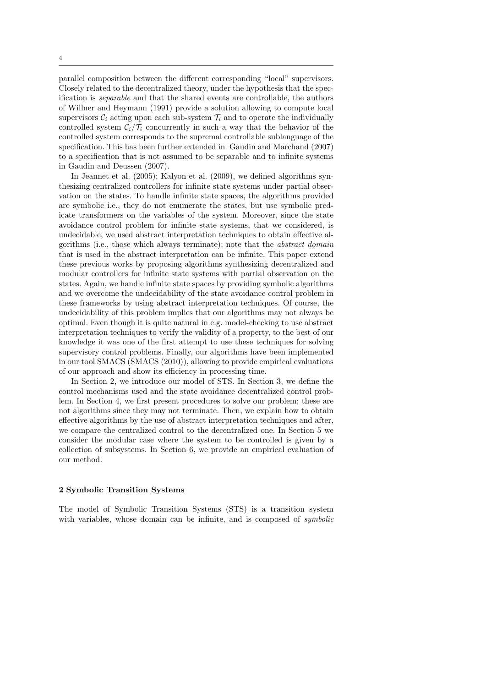parallel composition between the different corresponding "local" supervisors. Closely related to the decentralized theory, under the hypothesis that the specification is separable and that the shared events are controllable, the authors of Willner and Heymann (1991) provide a solution allowing to compute local supervisors  $\mathcal{C}_i$  acting upon each sub-system  $\mathcal{T}_i$  and to operate the individually controlled system  $C_i/T_i$  concurrently in such a way that the behavior of the controlled system corresponds to the supremal controllable sublanguage of the specification. This has been further extended in Gaudin and Marchand (2007) to a specification that is not assumed to be separable and to infinite systems in Gaudin and Deussen (2007).

In Jeannet et al. (2005); Kalyon et al. (2009), we defined algorithms synthesizing centralized controllers for infinite state systems under partial observation on the states. To handle infinite state spaces, the algorithms provided are symbolic i.e., they do not enumerate the states, but use symbolic predicate transformers on the variables of the system. Moreover, since the state avoidance control problem for infinite state systems, that we considered, is undecidable, we used abstract interpretation techniques to obtain effective algorithms (i.e., those which always terminate); note that the abstract domain that is used in the abstract interpretation can be infinite. This paper extend these previous works by proposing algorithms synthesizing decentralized and modular controllers for infinite state systems with partial observation on the states. Again, we handle infinite state spaces by providing symbolic algorithms and we overcome the undecidability of the state avoidance control problem in these frameworks by using abstract interpretation techniques. Of course, the undecidability of this problem implies that our algorithms may not always be optimal. Even though it is quite natural in e.g. model-checking to use abstract interpretation techniques to verify the validity of a property, to the best of our knowledge it was one of the first attempt to use these techniques for solving supervisory control problems. Finally, our algorithms have been implemented in our tool SMACS (SMACS (2010)), allowing to provide empirical evaluations of our approach and show its efficiency in processing time.

In Section 2, we introduce our model of STS. In Section 3, we define the control mechanisms used and the state avoidance decentralized control problem. In Section 4, we first present procedures to solve our problem; these are not algorithms since they may not terminate. Then, we explain how to obtain effective algorithms by the use of abstract interpretation techniques and after, we compare the centralized control to the decentralized one. In Section 5 we consider the modular case where the system to be controlled is given by a collection of subsystems. In Section 6, we provide an empirical evaluation of our method.

## 2 Symbolic Transition Systems

The model of Symbolic Transition Systems (STS) is a transition system with variables, whose domain can be infinite, and is composed of *symbolic*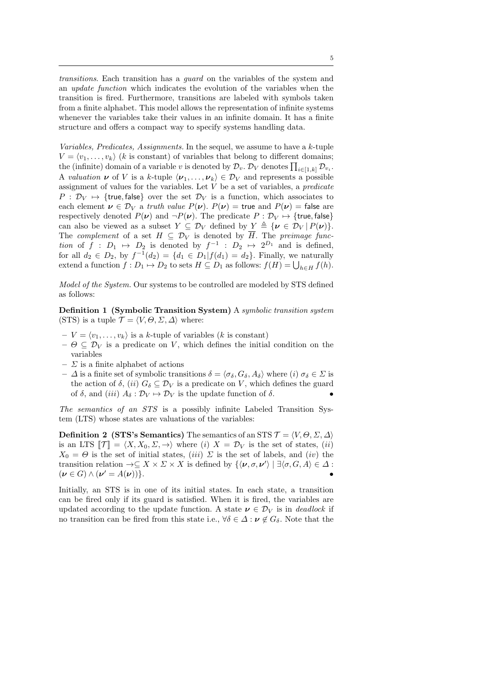transitions. Each transition has a guard on the variables of the system and an update function which indicates the evolution of the variables when the transition is fired. Furthermore, transitions are labeled with symbols taken from a finite alphabet. This model allows the representation of infinite systems whenever the variables take their values in an infinite domain. It has a finite structure and offers a compact way to specify systems handling data.

Variables, Predicates, Assignments. In the sequel, we assume to have a  $k$ -tuple  $V = \langle v_1, \ldots, v_k \rangle$  (k is constant) of variables that belong to different domains; the (infinite) domain of a variable v is denoted by  $\mathcal{D}_v$ .  $\mathcal{D}_V$  denotes  $\prod_{i\in [1,k]} \mathcal{D}_{v_i}$ . A valuation  $\nu$  of V is a k-tuple  $\langle \nu_1, \ldots, \nu_k \rangle \in \mathcal{D}_V$  and represents a possible assignment of values for the variables. Let  $V$  be a set of variables, a *predicate*  $P : \mathcal{D}_V \mapsto \{$ true, false} over the set  $\mathcal{D}_V$  is a function, which associates to each element  $\nu \in \mathcal{D}_V$  a truth value  $P(\nu)$ .  $P(\nu) =$  true and  $P(\nu) =$  false are respectively denoted  $P(\nu)$  and  $\neg P(\nu)$ . The predicate  $P : \mathcal{D}_V \mapsto \{\text{true}, \text{false}\}\$ can also be viewed as a subset  $Y \subseteq \mathcal{D}_V$  defined by  $Y \triangleq {\{\boldsymbol{\nu} \in \mathcal{D}_V \mid P(\boldsymbol{\nu})\}}$ . The *complement* of a set  $H \subseteq \mathcal{D}_V$  is denoted by  $\overline{H}$ . The *preimage func*tion of  $f : D_1 \mapsto D_2$  is denoted by  $f^{-1} : D_2 \mapsto 2^{D_1}$  and is defined, for all  $d_2 \in D_2$ , by  $f^{-1}(d_2) = \{d_1 \in D_1 | f(d_1) = d_2\}$ . Finally, we naturally extend a function  $f: D_1 \mapsto D_2$  to sets  $H \subseteq D_1$  as follows:  $f(H) = \bigcup_{h \in H} f(h)$ .

Model of the System. Our systems to be controlled are modeled by STS defined as follows:

Definition 1 (Symbolic Transition System) A symbolic transition system (STS) is a tuple  $\mathcal{T} = \langle V, \Theta, \Sigma, \Delta \rangle$  where:

- $-V = \langle v_1, \ldots, v_k \rangle$  is a k-tuple of variables (k is constant)
- $-\Theta \subseteq \mathcal{D}_V$  is a predicate on V, which defines the initial condition on the variables
- $\Sigma$  is a finite alphabet of actions
- $\Delta$  is a finite set of symbolic transitions  $\delta = \langle \sigma_{\delta}, G_{\delta}, A_{\delta} \rangle$  where  $(i)$   $\sigma_{\delta} \in \Sigma$  is the action of  $\delta$ , (ii)  $G_{\delta} \subseteq \mathcal{D}_V$  is a predicate on V, which defines the guard of  $\delta$ , and (iii)  $A_{\delta} : \mathcal{D}_V \to \mathcal{D}_V$  is the update function of  $\delta$ .

The semantics of an STS is a possibly infinite Labeled Transition System (LTS) whose states are valuations of the variables:

**Definition 2 (STS's Semantics)** The semantics of an STS  $\mathcal{T} = \langle V, \Theta, \Sigma, \Delta \rangle$ is an LTS  $\mathcal{T} = \langle X, X_0, \Sigma, \rightarrow \rangle$  where (i)  $X = \mathcal{D}_V$  is the set of states, (ii)  $X_0 = \Theta$  is the set of initial states, (iii)  $\Sigma$  is the set of labels, and (iv) the transition relation  $\rightarrow \subseteq X \times \Sigma \times X$  is defined by  $\{ \langle \nu, \sigma, \nu' \rangle \mid \exists \langle \sigma, G, A \rangle \in \Delta \}$ :  $(\nu \in G) \wedge (\nu' = A(\nu)) \}.$ 

Initially, an STS is in one of its initial states. In each state, a transition can be fired only if its guard is satisfied. When it is fired, the variables are updated according to the update function. A state  $\nu \in \mathcal{D}_V$  is in *deadlock* if no transition can be fired from this state i.e.,  $\forall \delta \in \Delta : \nu \notin G_{\delta}$ . Note that the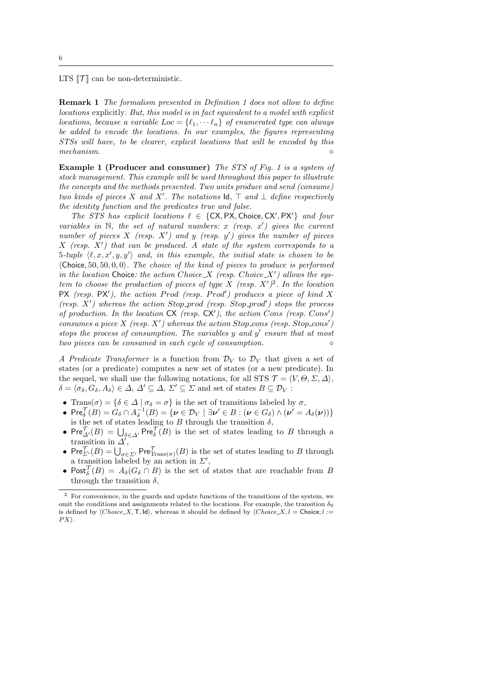LTS  $\llbracket \mathcal{T} \rrbracket$  can be non-deterministic.

Remark 1 The formalism presented in Definition 1 does not allow to define locations explicitly. But, this model is in fact equivalent to a model with explicit locations, because a variable  $Loc = \{\ell_1, \dots, \ell_n\}$  of enumerated type can always be added to encode the locations. In our examples, the figures representing STSs will have, to be clearer, explicit locations that will be encoded by this  $\infty$  mechanism.

Example 1 (Producer and consumer) The STS of Fig. 1 is a system of stock management. This example will be used throughout this paper to illustrate the concepts and the methods presented. Two units produce and send (consume) two kinds of pieces X and X'. The notations  $\mathsf{Id}, \top$  and  $\bot$  define respectively the identity function and the predicates true and false.

The STS has explicit locations  $\ell \in \{CX, PX, Choice, CX', PX'\}$  and four variables in  $\mathbb N$ , the set of natural numbers: x (resp. x') gives the current number of pieces  $X$  (resp.  $X'$ ) and  $y$  (resp.  $y'$ ) gives the number of pieces  $X$  (resp.  $X'$ ) that can be produced. A state of the system corresponds to a 5-tuple  $\langle \ell, x, x', y, y' \rangle$  and, in this example, the initial state is chosen to be  $\langle$ Choice, 50, 50, 0, 0). The choice of the kind of pieces to produce is performed in the location Choice: the action  $Choice_x$  (resp. Choice  $X'$ ) allows the system to choose the production of pieces of type X (resp.  $X^{\prime}$ )<sup>2</sup>. In the location PX (resp. PX'), the action Prod (resp. Prod') produces a piece of kind X (resp. X′ ) whereas the action Stop prod (resp. Stop prod′ ) stops the process of production. In the location CX (resp. CX′ ), the action Cons (resp. Cons′ ) consumes a piece  $X$  (resp.  $X'$ ) whereas the action Stop cons (resp. Stop cons') stops the process of consumption. The variables  $y$  and  $y'$  ensure that at most two pieces can be consumed in each cycle of consumption.

A Predicate Transformer is a function from  $\mathcal{D}_V$  to  $\mathcal{D}_V$  that given a set of states (or a predicate) computes a new set of states (or a new predicate). In the sequel, we shall use the following notations, for all STS  $\mathcal{T} = \langle V, \Theta, \Sigma, \Delta \rangle$ ,  $\delta = \langle \sigma_{\delta}, G_{\delta}, A_{\delta} \rangle \in \Delta, \Delta' \subseteq \Delta, \Sigma' \subseteq \Sigma$  and set of states  $B \subseteq \mathcal{D}_V$ :

- Trans $(\sigma) = \{ \delta \in \Delta \mid \sigma_{\delta} = \sigma \}$  is the set of transitions labeled by  $\sigma$ ,
- Pre $_{\delta}^{\mathcal{T}}(B) = \hat{G}_{\delta} \cap A_{\delta}^{-1}(B) = \{ \boldsymbol{\nu} \in \mathcal{D}_V \mid \exists \boldsymbol{\nu}' \in B : (\boldsymbol{\nu} \in G_{\delta}) \wedge (\boldsymbol{\nu}' = A_{\delta}(\boldsymbol{\nu})) \}$ is the set of states leading to B through the transition  $\delta$ ,
- Pre $_{\Delta'}^{\mathcal{T}}(B) = \bigcup_{\delta \in \Delta'} \text{Pre}_{\delta}^{\mathcal{T}}(B)$  is the set of states leading to B through a transition in  $\Delta'$ ,
- Pre $_{\Sigma'}^{\mathcal{T}}(B) = \bigcup_{\sigma \in \Sigma'} \text{Pre}_{\text{Trans}(\sigma)}^{\mathcal{T}}(B)$  is the set of states leading to B through a transition labeled by an action in  $\Sigma'$ ,
- Post $_{\delta}^{\mathcal{T}}(B) = A_{\delta}(G_{\delta} \cap B)$  is the set of states that are reachable from B through the transition  $\delta$ .

<sup>2</sup> For convenience, in the guards and update functions of the transitions of the system, we omit the conditions and assignments related to the locations. For example, the transition  $\delta \alpha$ is defined by  $\langle Choice \, X, \mathsf{T}, \mathsf{Id} \rangle$ , whereas it should be defined by  $\langle Choice \, X, l = Choice; l := \mathsf{Id} \rangle$  $PX\rangle$ .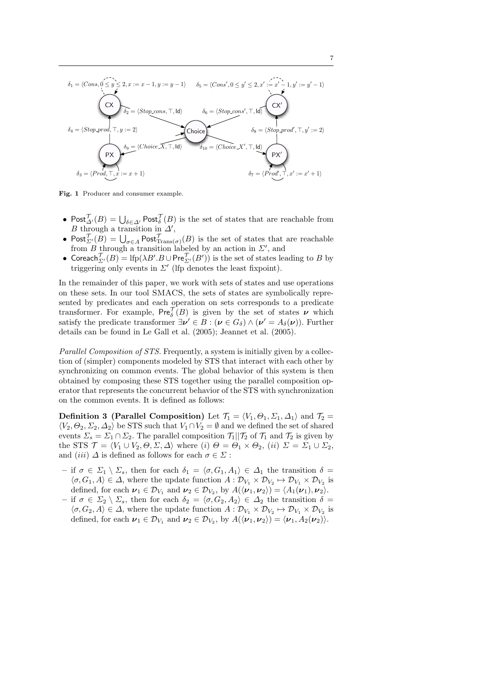

Fig. 1 Producer and consumer example.

- Post $_{\Delta'}^{\mathcal{T}}(B) = \bigcup_{\delta \in \Delta'} \mathsf{Post}_{\delta}^{\mathcal{T}}(B)$  is the set of states that are reachable from B through a transition in  $\Delta'$ ,
- Post $_{\Sigma'}^{\mathcal{T}}(B) = \bigcup_{\sigma \in A} \text{Post}_{\text{Trans}(\sigma)}^{\mathcal{T}}(B)$  is the set of states that are reachable from B through a transition labeled by an action in  $\Sigma'$ , and
- Coreach $_{\Sigma'}^{\mathcal{T}}(B) = \text{lfp}(\lambda B'.B \cup \textsf{Pre}_{\Sigma'}^{\mathcal{T}}(B'))$  is the set of states leading to B by triggering only events in  $\Sigma'$  (lfp denotes the least fixpoint).

In the remainder of this paper, we work with sets of states and use operations on these sets. In our tool SMACS, the sets of states are symbolically represented by predicates and each operation on sets corresponds to a predicate transformer. For example,  $\mathsf{Pre}_{\delta}^{\mathcal{T}}(B)$  is given by the set of states  $\nu$  which satisfy the predicate transformer  $\exists \nu' \in B : (\nu \in G_{\delta}) \wedge (\nu' = A_{\delta}(\nu))$ . Further details can be found in Le Gall et al. (2005); Jeannet et al. (2005).

Parallel Composition of STS. Frequently, a system is initially given by a collection of (simpler) components modeled by STS that interact with each other by synchronizing on common events. The global behavior of this system is then obtained by composing these STS together using the parallel composition operator that represents the concurrent behavior of the STS with synchronization on the common events. It is defined as follows:

**Definition 3 (Parallel Composition)** Let  $\mathcal{T}_1 = \langle V_1, \Theta_1, \Sigma_1, \Delta_1 \rangle$  and  $\mathcal{T}_2 =$  $\langle V_2, \Theta_2, \Sigma_2, \Delta_2 \rangle$  be STS such that  $V_1 \cap V_2 = \emptyset$  and we defined the set of shared events  $\Sigma_s = \Sigma_1 \cap \Sigma_2$ . The parallel composition  $\mathcal{T}_1 || \mathcal{T}_2$  of  $\mathcal{T}_1$  and  $\mathcal{T}_2$  is given by the STS  $\mathcal{T} = \langle V_1 \cup V_2, \Theta, \Sigma, \Delta \rangle$  where  $(i) \Theta = \Theta_1 \times \Theta_2$ ,  $(ii) \Sigma = \Sigma_1 \cup \Sigma_2$ , and  $(iii) \Delta$  is defined as follows for each  $\sigma \in \Sigma$ :

- if  $\sigma \in \Sigma_1 \setminus \Sigma_s$ , then for each  $\delta_1 = \langle \sigma, G_1, A_1 \rangle \in \Delta_1$  the transition  $\delta =$  $\langle \sigma, G_1, A \rangle \in \Delta$ , where the update function  $A: \mathcal{D}_{V_1} \times \mathcal{D}_{V_2} \mapsto \mathcal{D}_{V_1} \times \mathcal{D}_{V_2}$  is defined, for each  $v_1 \in \mathcal{D}_{V_1}$  and  $v_2 \in \mathcal{D}_{V_2}$ , by  $A(\langle \nu_1, \nu_2 \rangle) = \langle A_1(\nu_1), \nu_2 \rangle$ .
- if  $\sigma \in \Sigma_2 \setminus \Sigma_s$ , then for each  $\delta_2 = \langle \sigma, G_2, A_2 \rangle \in \Delta_2$  the transition  $\delta =$  $\langle \sigma, G_2, A \rangle \in \Delta$ , where the update function  $A: \mathcal{D}_{V_1} \times \mathcal{D}_{V_2} \mapsto \mathcal{D}_{V_1} \times \mathcal{D}_{V_2}$  is defined, for each  $\nu_1 \in \mathcal{D}_{V_1}$  and  $\nu_2 \in \mathcal{D}_{V_2}$ , by  $A(\langle \nu_1, \nu_2 \rangle) = \langle \nu_1, A_2(\nu_2) \rangle$ .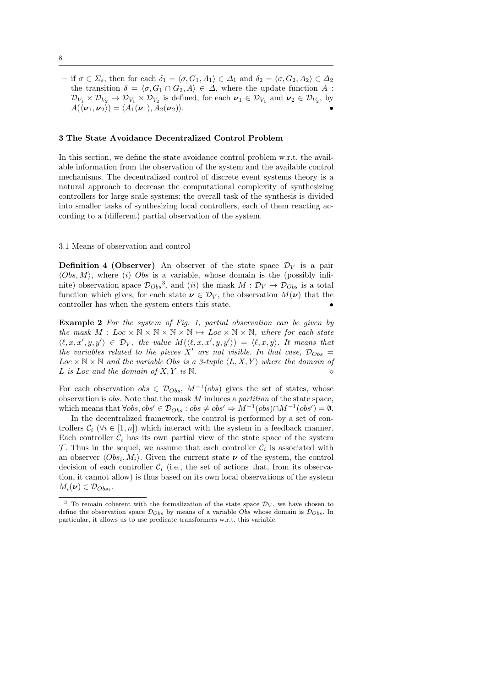– if  $\sigma \in \Sigma_s$ , then for each  $\delta_1 = \langle \sigma, G_1, A_1 \rangle \in \Delta_1$  and  $\delta_2 = \langle \sigma, G_2, A_2 \rangle \in \Delta_2$ the transition  $\delta = \langle \sigma, G_1 \cap G_2, A \rangle \in \Delta$ , where the update function A :  $\mathcal{D}_{V_1} \times \mathcal{D}_{V_2} \mapsto \mathcal{D}_{V_1} \times \mathcal{D}_{V_2}$  is defined, for each  $\nu_1 \in \mathcal{D}_{V_1}$  and  $\nu_2 \in \mathcal{D}_{V_2}$ , by  $A(\langle \boldsymbol{\nu}_1, \boldsymbol{\nu}_2 \rangle) = \langle A_1(\boldsymbol{\nu}_1), A_2(\boldsymbol{\nu}_2) \rangle.$ 

#### 3 The State Avoidance Decentralized Control Problem

In this section, we define the state avoidance control problem w.r.t. the available information from the observation of the system and the available control mechanisms. The decentralized control of discrete event systems theory is a natural approach to decrease the computational complexity of synthesizing controllers for large scale systems: the overall task of the synthesis is divided into smaller tasks of synthesizing local controllers, each of them reacting according to a (different) partial observation of the system.

#### 3.1 Means of observation and control

**Definition 4 (Observer)** An observer of the state space  $\mathcal{D}_V$  is a pair  $\langle Obs, M \rangle$ , where (i) Obs is a variable, whose domain is the (possibly infinite) observation space  $\mathcal{D}_{Obs}^3$ , and (ii) the mask  $M: \mathcal{D}_V \mapsto \mathcal{D}_{Obs}$  is a total function which gives, for each state  $\nu \in \mathcal{D}_V$ , the observation  $M(\nu)$  that the controller has when the system enters this state. •

Example 2 For the system of Fig. 1, partial observation can be given by the mask  $M : Loc \times \mathbb{N} \times \mathbb{N} \times \mathbb{N} \rightarrow Loc \times \mathbb{N} \times \mathbb{N}$ , where for each state  $\langle \ell, x, x', y, y' \rangle \in \mathcal{D}_V$ , the value  $M(\langle \ell, x, x', y, y' \rangle) = \langle \ell, x, y \rangle$ . It means that the variables related to the pieces  $X'$  are not visible. In that case,  $\mathcal{D}_{Obs}$  =  $Loc \times \mathbb{N} \times \mathbb{N}$  and the variable Obs is a 3-tuple  $\langle L, X, Y \rangle$  where the domain of L is Loc and the domain of  $X, Y$  is  $\mathbb N$ .

For each observation  $obs \in \mathcal{D}_{Obs}$ ,  $M^{-1}(obs)$  gives the set of states, whose observation is  $\delta$ . Note that the mask M induces a *partition* of the state space, which means that  $\forall obs, obs' \in \mathcal{D}_{Obs} : obs \neq obs' \Rightarrow M^{-1}(obs) \cap M^{-1}(obs') = \emptyset$ .

In the decentralized framework, the control is performed by a set of controllers  $C_i$  ( $\forall i \in [1, n]$ ) which interact with the system in a feedback manner. Each controller  $C_i$  has its own partial view of the state space of the system  $\mathcal{T}$ . Thus in the sequel, we assume that each controller  $\mathcal{C}_i$  is associated with an observer  $\langle Obs_i, M_i \rangle$ . Given the current state  $\nu$  of the system, the control decision of each controller  $\mathcal{C}_i$  (i.e., the set of actions that, from its observation, it cannot allow) is thus based on its own local observations of the system  $M_i(\nu) \in \mathcal{D}_{Obs_i}.$ 

<sup>&</sup>lt;sup>3</sup> To remain coherent with the formalization of the state space  $\mathcal{D}_V$ , we have chosen to define the observation space  $\mathcal{D}_{Obs}$  by means of a variable *Obs* whose domain is  $\mathcal{D}_{Obs}$ . In particular, it allows us to use predicate transformers w.r.t. this variable.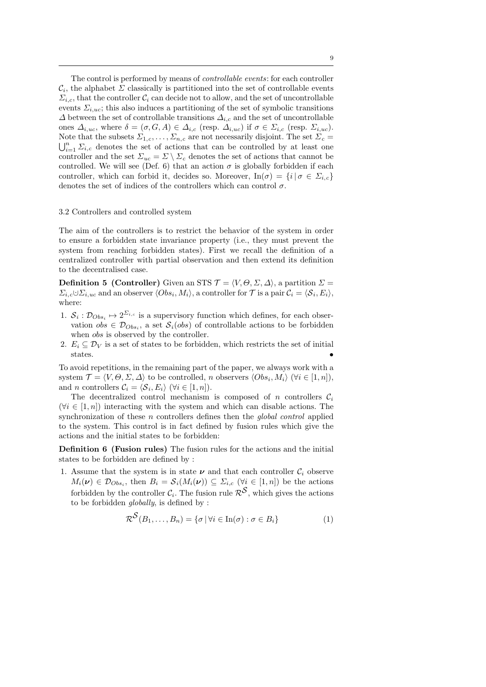The control is performed by means of controllable events: for each controller  $\mathcal{C}_i$ , the alphabet  $\Sigma$  classically is partitioned into the set of controllable events  $\Sigma_{i,c}$ , that the controller  $\mathcal{C}_i$  can decide not to allow, and the set of uncontrollable events  $\Sigma_{i,uc}$ ; this also induces a partitioning of the set of symbolic transitions  $\Delta$  between the set of controllable transitions  $\Delta_{i,c}$  and the set of uncontrollable ones  $\Delta_{i,uc}$ , where  $\delta = (\sigma, G, A) \in \Delta_{i,c}$  (resp.  $\Delta_{i,uc}$ ) if  $\sigma \in \Sigma_{i,c}$  (resp.  $\Sigma_{i,uc}$ ). Note that the subsets  $\Sigma_{1,c}, \ldots, \Sigma_{n,c}$  are not necessarily disjoint. The set  $\Sigma_c =$  $\bigcup_{i=1}^n \Sigma_{i,c}$  denotes the set of actions that can be controlled by at least one controller and the set  $\Sigma_{uc} = \Sigma \setminus \Sigma_c$  denotes the set of actions that cannot be controlled. We will see (Def. 6) that an action  $\sigma$  is globally forbidden if each controller, which can forbid it, decides so. Moreover,  $\text{In}(\sigma) = \{i | \sigma \in \Sigma_{i,c}\}\$ denotes the set of indices of the controllers which can control  $\sigma$ .

#### 3.2 Controllers and controlled system

The aim of the controllers is to restrict the behavior of the system in order to ensure a forbidden state invariance property (i.e., they must prevent the system from reaching forbidden states). First we recall the definition of a centralized controller with partial observation and then extend its definition to the decentralised case.

**Definition 5 (Controller)** Given an STS  $\mathcal{T} = \langle V, \Theta, \Sigma, \Delta \rangle$ , a partition  $\Sigma =$  $\Sigma_{i,c} \cup \Sigma_{i,uc}$  and an observer  $\langle Obs_i, M_i \rangle$ , a controller for T is a pair  $\mathcal{C}_i = \langle \mathcal{S}_i, E_i \rangle$ , where:

- 1.  $S_i: \mathcal{D}_{Obs_i} \mapsto 2^{\Sigma_{i,c}}$  is a supervisory function which defines, for each observation  $obs \in \mathcal{D}_{Obs_i}$ , a set  $\mathcal{S}_i(obs)$  of controllable actions to be forbidden when *obs* is observed by the controller.
- 2.  $E_i \subset \mathcal{D}_V$  is a set of states to be forbidden, which restricts the set of initial states.  $\bullet$

To avoid repetitions, in the remaining part of the paper, we always work with a system  $\mathcal{T} = \langle V, \Theta, \Sigma, \Delta \rangle$  to be controlled, n observers  $\langle Obs_i, M_i \rangle$   $(\forall i \in [1, n]),$ and *n* controllers  $C_i = \langle S_i, E_i \rangle$  ( $\forall i \in [1, n]$ ).

The decentralized control mechanism is composed of n controllers  $C_i$  $(\forall i \in [1, n])$  interacting with the system and which can disable actions. The synchronization of these n controllers defines then the global control applied to the system. This control is in fact defined by fusion rules which give the actions and the initial states to be forbidden:

Definition 6 (Fusion rules) The fusion rules for the actions and the initial states to be forbidden are defined by :

1. Assume that the system is in state  $\nu$  and that each controller  $\mathcal{C}_i$  observe  $M_i(\nu) \in \mathcal{D}_{Obs_i}$ , then  $B_i = \mathcal{S}_i(M_i(\nu)) \subseteq \Sigma_{i,c}$  ( $\forall i \in [1,n]$ ) be the actions forbidden by the controller  $\mathcal{C}_i$ . The fusion rule  $\mathcal{R}^{\mathcal{S}}$ , which gives the actions to be forbidden globally, is defined by :

$$
\mathcal{R}^{\mathcal{S}}(B_1,\ldots,B_n) = \{ \sigma \, | \, \forall i \in \text{In}(\sigma) : \sigma \in B_i \}
$$
 (1)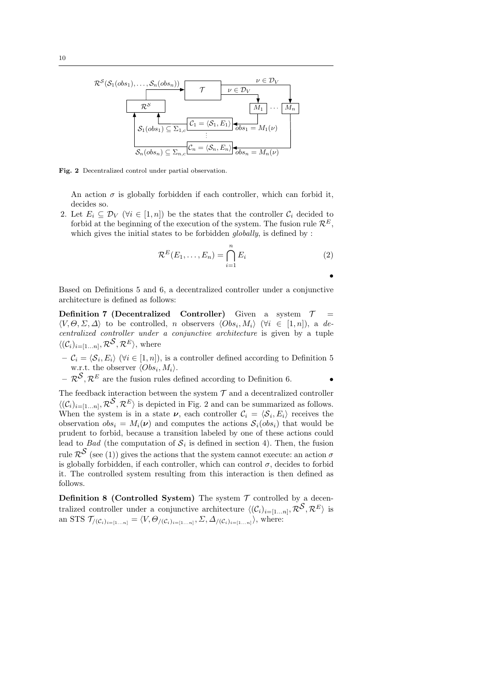

Fig. 2 Decentralized control under partial observation.

An action  $\sigma$  is globally forbidden if each controller, which can forbid it, decides so.

2. Let  $E_i \subset \mathcal{D}_V$  ( $\forall i \in [1, n]$ ) be the states that the controller  $\mathcal{C}_i$  decided to forbid at the beginning of the execution of the system. The fusion rule  $\mathcal{R}^E$ , which gives the initial states to be forbidden *globally*, is defined by :

$$
\mathcal{R}^E(E_1,\ldots,E_n) = \bigcap_{i=1}^n E_i \tag{2}
$$

•

Based on Definitions 5 and 6, a decentralized controller under a conjunctive architecture is defined as follows:

**Definition 7 (Decentralized Controller)** Given a system  $\mathcal{T}$  =  $\langle V, \Theta, \Sigma, \Delta \rangle$  to be controlled, n observers  $\langle Obs_i, M_i \rangle$   $(\forall i \in [1, n]),$  a decentralized controller under a conjunctive architecture is given by a tuple  $\langle (\mathcal{C}_i)_{i=[1...n]}, \mathcal{R}^{\mathcal{S}}, \mathcal{R}^E \rangle$ , where

- $C_i = \langle S_i, E_i \rangle$  ( $\forall i \in [1, n]$ ), is a controller defined according to Definition 5 w.r.t. the observer  $\langle Obs_i, M_i \rangle$ .
- $\mathcal{R}^{\mathcal{S}}$ ,  $\mathcal{R}^E$  are the fusion rules defined according to Definition 6.

The feedback interaction between the system  $\mathcal T$  and a decentralized controller  $\langle (C_i)_{i=[1...n]}, \mathcal{R}^{\mathcal{S}}, \mathcal{R}^E \rangle$  is depicted in Fig. 2 and can be summarized as follows. When the system is in a state  $\nu$ , each controller  $\mathcal{C}_i = \langle \mathcal{S}_i, E_i \rangle$  receives the observation  $obs_i = M_i(\nu)$  and computes the actions  $S_i(obs_i)$  that would be prudent to forbid, because a transition labeled by one of these actions could lead to *Bad* (the computation of  $S_i$  is defined in section 4). Then, the fusion rule  $\mathcal{R}^{\mathcal{S}}$  (see (1)) gives the actions that the system cannot execute: an action  $\sigma$ is globally forbidden, if each controller, which can control  $\sigma$ , decides to forbid it. The controlled system resulting from this interaction is then defined as follows.

**Definition 8 (Controlled System)** The system  $\mathcal T$  controlled by a decentralized controller under a conjunctive architecture  $\langle (C_i)_{i=[1...n]}, \mathcal{R}^{\mathcal{S}}, \mathcal{R}^E \rangle$  is an STS  $\mathcal{T}_{/(\mathcal{C}_i)_{i=[1...n]}} = \langle V, \Theta_{/(\mathcal{C}_i)_{i=[1...n]}}, \Sigma, \Delta_{/(\mathcal{C}_i)_{i=[1...n]}} \rangle$ , where: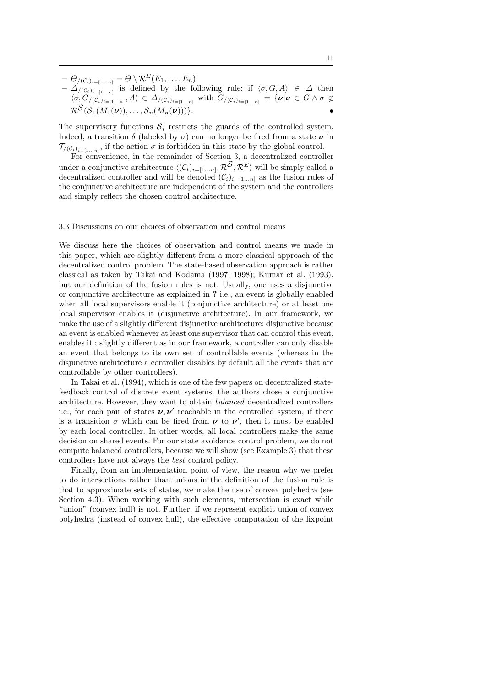- $\Theta_{/(\mathcal{C}_i)_{i=[1...n]}} = \Theta \setminus \mathcal{R}^E(E_1, \ldots, E_n)$
- $\Delta_{/(\mathcal{C}_i)_{i=[1...n]}}$  is defined by the following rule: if  $\langle \sigma, G, A \rangle \in \Delta$  then  $\langle \sigma, G_{/(\mathcal{C}_i)} \rangle_{i=[1...n]}, A \rangle \in \Delta_{/(\mathcal{C}_i)_{i=[1...n]}}$  with  $G_{/(\mathcal{C}_i)_{i=[1...n]}} = {\cal W} | \nu \in G \wedge \sigma \notin$  $\mathcal{R}^{\mathcal{S}}(\mathcal{S}_1(M_1(\nu)), \ldots, \mathcal{S}_n(M_n(\nu)))\}.$

The supervisory functions  $S_i$  restricts the guards of the controlled system. Indeed, a transition  $\delta$  (labeled by  $\sigma$ ) can no longer be fired from a state  $\nu$  in  $\mathcal{T}_{/(\mathcal{C}_i)_{i=[1...n]}},$  if the action  $\sigma$  is forbidden in this state by the global control.

For convenience, in the remainder of Section 3, a decentralized controller under a conjunctive architecture  $\langle (C_i)_{i=[1...n]}, \mathcal{R}^{\mathcal{S}}, \mathcal{R}^E \rangle$  will be simply called a decentralized controller and will be denoted  $(C_i)_{i=[1...n]}$  as the fusion rules of the conjunctive architecture are independent of the system and the controllers and simply reflect the chosen control architecture.

#### 3.3 Discussions on our choices of observation and control means

We discuss here the choices of observation and control means we made in this paper, which are slightly different from a more classical approach of the decentralized control problem. The state-based observation approach is rather classical as taken by Takai and Kodama (1997, 1998); Kumar et al. (1993), but our definition of the fusion rules is not. Usually, one uses a disjunctive or conjunctive architecture as explained in ? i.e., an event is globally enabled when all local supervisors enable it (conjunctive architecture) or at least one local supervisor enables it (disjunctive architecture). In our framework, we make the use of a slightly different disjunctive architecture: disjunctive because an event is enabled whenever at least one supervisor that can control this event, enables it ; slightly different as in our framework, a controller can only disable an event that belongs to its own set of controllable events (whereas in the disjunctive architecture a controller disables by default all the events that are controllable by other controllers).

In Takai et al. (1994), which is one of the few papers on decentralized statefeedback control of discrete event systems, the authors chose a conjunctive architecture. However, they want to obtain balanced decentralized controllers i.e., for each pair of states  $\nu, \nu'$  reachable in the controlled system, if there is a transition  $\sigma$  which can be fired from  $\nu$  to  $\nu'$ , then it must be enabled by each local controller. In other words, all local controllers make the same decision on shared events. For our state avoidance control problem, we do not compute balanced controllers, because we will show (see Example 3) that these controllers have not always the best control policy.

Finally, from an implementation point of view, the reason why we prefer to do intersections rather than unions in the definition of the fusion rule is that to approximate sets of states, we make the use of convex polyhedra (see Section 4.3). When working with such elements, intersection is exact while "union" (convex hull) is not. Further, if we represent explicit union of convex polyhedra (instead of convex hull), the effective computation of the fixpoint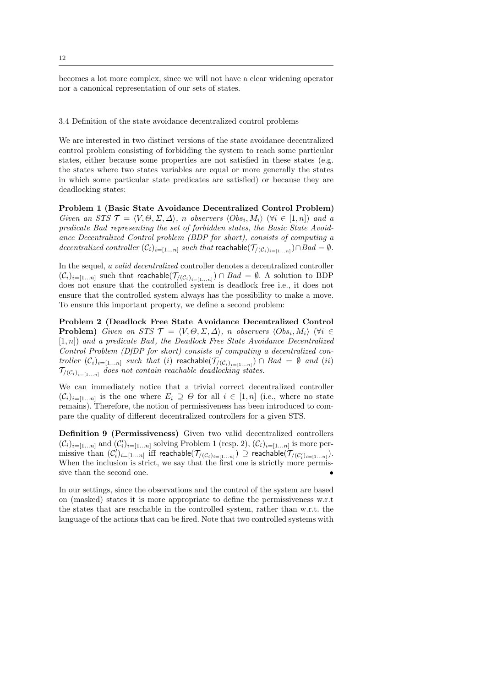becomes a lot more complex, since we will not have a clear widening operator nor a canonical representation of our sets of states.

3.4 Definition of the state avoidance decentralized control problems

We are interested in two distinct versions of the state avoidance decentralized control problem consisting of forbidding the system to reach some particular states, either because some properties are not satisfied in these states (e.g. the states where two states variables are equal or more generally the states in which some particular state predicates are satisfied) or because they are deadlocking states:

Problem 1 (Basic State Avoidance Decentralized Control Problem) Given an STS  $\mathcal{T} = \langle V, \Theta, \Sigma, \Delta \rangle$ , n observers  $\langle Obs_i, M_i \rangle$  ( $\forall i \in [1, n]$ ) and a predicate Bad representing the set of forbidden states, the Basic State Avoidance Decentralized Control problem (BDP for short), consists of computing a decentralized controller  $(C_i)_{i=[1...n]}$  such that reachable $(\mathcal{T}_{/(\mathcal{C}_i)_{i=[1...n]}}) \cap Bad = \emptyset$ .

In the sequel, a valid decentralized controller denotes a decentralized controller  $(C_i)_{i=[1...n]}$  such that reachable $(\mathcal{T}_{/(\mathcal{C}_i)_{i=[1...n]}}) \cap Bad = \emptyset$ . A solution to BDP does not ensure that the controlled system is deadlock free i.e., it does not ensure that the controlled system always has the possibility to make a move. To ensure this important property, we define a second problem:

Problem 2 (Deadlock Free State Avoidance Decentralized Control **Problem)** Given an STS  $\mathcal{T} = \langle V, \Theta, \Sigma, \Delta \rangle$ , n observers  $\langle Obs_i, M_i \rangle$   $(\forall i \in$  $[1, n]$  and a predicate Bad, the Deadlock Free State Avoidance Decentralized Control Problem (DfDP for short) consists of computing a decentralized controller  $(C_i)_{i=[1...n]}$  such that  $(i)$  reachable $(\mathcal{T}_{/(\mathcal{C}_i)_{i=[1...n]}}) \cap Bad = \emptyset$  and  $(ii)$  $\mathcal{T}_{/(\mathcal{C}_i)_{i=[1...n]}}$  does not contain reachable deadlocking states.

We can immediately notice that a trivial correct decentralized controller  $(\mathcal{C}_i)_{i=[1...n]}$  is the one where  $E_i \supseteq \Theta$  for all  $i \in [1,n]$  (i.e., where no state remains). Therefore, the notion of permissiveness has been introduced to compare the quality of different decentralized controllers for a given STS.

Definition 9 (Permissiveness) Given two valid decentralized controllers  $(C_i)_{i=[1...n]}$  and  $(C'_i)_{i=[1...n]}$  solving Problem 1 (resp. 2),  $(C_i)_{i=[1...n]}$  is more per- $\text{missive than}~~ (\mathcal{C}'_i)_{i=[1...n]}~\text{iff }$  reachable $(\mathcal{T}_{/(\mathcal{C}_i)_{i=[1...n]}})~\supseteq~$  reachable $(\mathcal{T}_{/(\mathcal{C}'_i)_{i=[1...n]}}).$ When the inclusion is strict, we say that the first one is strictly more permissive than the second one.

In our settings, since the observations and the control of the system are based on (masked) states it is more appropriate to define the permissiveness w.r.t the states that are reachable in the controlled system, rather than w.r.t. the language of the actions that can be fired. Note that two controlled systems with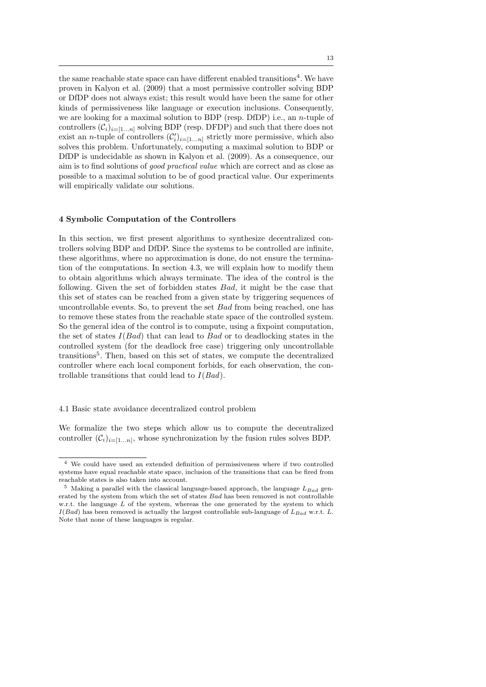the same reachable state space can have different enabled transitions<sup>4</sup>. We have proven in Kalyon et al. (2009) that a most permissive controller solving BDP or DfDP does not always exist; this result would have been the same for other kinds of permissiveness like language or execution inclusions. Consequently, we are looking for a maximal solution to BDP (resp. DfDP) i.e., an  $n$ -tuple of controllers  $(c_i)_{i=[1...n]}$  solving BDP (resp. DFDP) and such that there does not exist an *n*-tuple of controllers  $(C'_i)_{i=[1...n]}$  strictly more permissive, which also solves this problem. Unfortunately, computing a maximal solution to BDP or DfDP is undecidable as shown in Kalyon et al. (2009). As a consequence, our aim is to find solutions of good practical value which are correct and as close as possible to a maximal solution to be of good practical value. Our experiments will empirically validate our solutions.

### 4 Symbolic Computation of the Controllers

In this section, we first present algorithms to synthesize decentralized controllers solving BDP and DfDP. Since the systems to be controlled are infinite, these algorithms, where no approximation is done, do not ensure the termination of the computations. In section 4.3, we will explain how to modify them to obtain algorithms which always terminate. The idea of the control is the following. Given the set of forbidden states Bad, it might be the case that this set of states can be reached from a given state by triggering sequences of uncontrollable events. So, to prevent the set Bad from being reached, one has to remove these states from the reachable state space of the controlled system. So the general idea of the control is to compute, using a fixpoint computation, the set of states  $I(Bad)$  that can lead to Bad or to deadlocking states in the controlled system (for the deadlock free case) triggering only uncontrollable transitions<sup>5</sup>. Then, based on this set of states, we compute the decentralized controller where each local component forbids, for each observation, the controllable transitions that could lead to  $I(Bad)$ .

# 4.1 Basic state avoidance decentralized control problem

We formalize the two steps which allow us to compute the decentralized controller  $(C_i)_{i=[1...n]}$ , whose synchronization by the fusion rules solves BDP.

<sup>4</sup> We could have used an extended definition of permissiveness where if two controlled systems have equal reachable state space, inclusion of the transitions that can be fired from reachable states is also taken into account.

 $5$  Making a parallel with the classical language-based approach, the language  $L_{Bad}$  generated by the system from which the set of states Bad has been removed is not controllable w.r.t. the language  $L$  of the system, whereas the one generated by the system to which  $I(Bad)$  has been removed is actually the largest controllable sub-language of  $L_{Bad}$  w.r.t. L. Note that none of these languages is regular.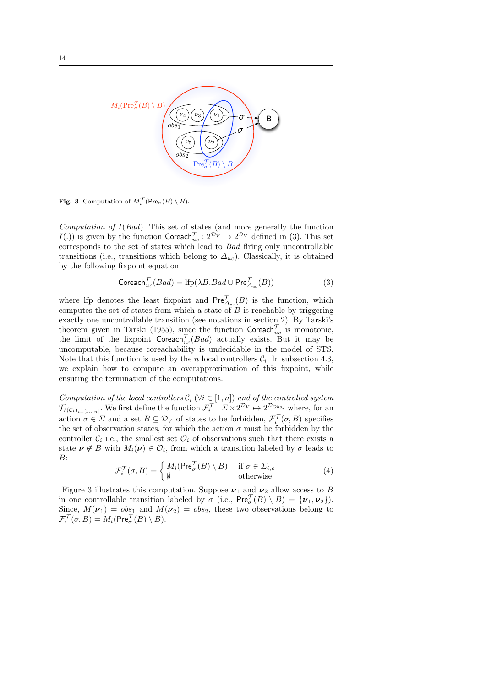

**Fig. 3** Computation of  $M_i^{\mathcal{T}}(\text{Pre}_{\sigma}(B) \setminus B)$ .

Computation of  $I(Bad)$ . This set of states (and more generally the function  $I(.)$  is given by the function Coreach $\mathcal{T}_{uc} : 2^{\mathcal{D}_V} \mapsto 2^{\mathcal{D}_V}$  defined in (3). This set corresponds to the set of states which lead to Bad firing only uncontrollable transitions (i.e., transitions which belong to  $\Delta_{uc}$ ). Classically, it is obtained by the following fixpoint equation:

$$
\text{Coreach}_{uc}^{\mathcal{T}}(Bad) = \text{lfp}(\lambda B. Bad \cup \text{Pre}_{\Delta_{uc}}^{\mathcal{T}}(B)) \tag{3}
$$

where lfp denotes the least fixpoint and  $\mathsf{Pre}_{\Delta_{uc}}^{\mathcal{T}}(B)$  is the function, which computes the set of states from which a state of B is reachable by triggering exactly one uncontrollable transition (see notations in section 2). By Tarski's theorem given in Tarski (1955), since the function Coreach $_{uc}^{\mathcal{T}}$  is monotonic, the limit of the fixpoint Coreach $_{uc}^{T}(Bad)$  actually exists. But it may be uncomputable, because coreachability is undecidable in the model of STS. Note that this function is used by the *n* local controllers  $\mathcal{C}_i$ . In subsection 4.3, we explain how to compute an overapproximation of this fixpoint, while ensuring the termination of the computations.

Computation of the local controllers  $C_i$  ( $\forall i \in [1, n]$ ) and of the controlled system  $\mathcal{T}_{/(\mathcal{C}_i)_{i=[1...n]}}$ . We first define the function  $\mathcal{F}_i^{\mathcal{T}}: \Sigma \times 2^{\mathcal{D}_{V}} \mapsto 2^{\mathcal{D}_{Obs_i}}$  where, for an action  $\sigma \in \Sigma$  and a set  $B \subseteq \mathcal{D}_V$  of states to be forbidden,  $\mathcal{F}_i^{\mathcal{T}}(\sigma, B)$  specifies the set of observation states, for which the action  $\sigma$  must be forbidden by the controller  $\mathcal{C}_i$  i.e., the smallest set  $\mathcal{O}_i$  of observations such that there exists a state  $\nu \notin B$  with  $M_i(\nu) \in \mathcal{O}_i$ , from which a transition labeled by  $\sigma$  leads to B:

$$
\mathcal{F}_i^{\mathcal{T}}(\sigma, B) = \begin{cases} M_i(\mathsf{Pre}_{\sigma}^{\mathcal{T}}(B) \setminus B) & \text{if } \sigma \in \Sigma_{i,c} \\ \emptyset & \text{otherwise} \end{cases}
$$
(4)

Figure 3 illustrates this computation. Suppose  $\nu_1$  and  $\nu_2$  allow access to B in one controllable transition labeled by  $\sigma$  (i.e.,  $\text{Pre}^{\mathcal{T}}_{\sigma}(B) \setminus B) = {\nu_1, \nu_2}.$ Since,  $M(\nu_1) = obs_1$  and  $M(\nu_2) = obs_2$ , these two observations belong to  $\mathcal{F}_i^{\mathcal{T}}(\sigma, B) = M_i(\mathsf{Pre}^{\mathcal{T}}_{\sigma}(B) \setminus B).$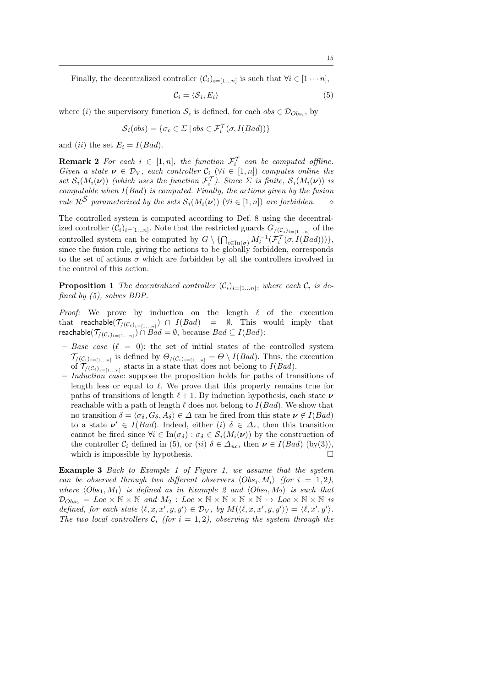Finally, the decentralized controller  $(C_i)_{i=[1...n]}$  is such that  $\forall i \in [1 \cdots n]$ ,

$$
\mathcal{C}_i = \langle \mathcal{S}_i, E_i \rangle \tag{5}
$$

where (*i*) the supervisory function  $S_i$  is defined, for each  $obs \in \mathcal{D}_{Obs_i}$ , by

$$
S_i(obs) = \{ \sigma_c \in \Sigma \mid obs \in \mathcal{F}_i^{\mathcal{T}}(\sigma, I(Bad)) \}
$$

and *(ii)* the set  $E_i = I(Bad)$ .

**Remark 2** For each  $i \in [1, n]$ , the function  $\mathcal{F}_i^{\mathcal{T}}$  can be computed offline. Given a state  $\nu \in \mathcal{D}_V$ , each controller  $\mathcal{C}_i$  ( $\forall i \in [1,n]$ ) computes online the set  $S_i(M_i(\nu))$  (which uses the function  $\mathcal{F}_i^{\mathcal{T}}$ ). Since  $\Sigma$  is finite,  $S_i(M_i(\nu))$  is computable when  $I(Bad)$  is computed. Finally, the actions given by the fusion rule  $\mathcal{R}^{\mathcal{S}}$  parameterized by the sets  $\mathcal{S}_i(M_i(\nu))$  ( $\forall i \in [1, n]$ ) are forbidden.

The controlled system is computed according to Def. 8 using the decentralized controller  $(C_i)_{i=[1...n]}$ . Note that the restricted guards  $G_{/((C_i)_{i=[1...n]})}$  of the controlled system can be computed by  $G \setminus {\bigcap_{i \in \text{In}(\sigma)} M_i^{-1}(\mathcal{F}_i^{\mathcal{T}}(\sigma, I(Bad)))\big\}},$ since the fusion rule, giving the actions to be globally forbidden, corresponds to the set of actions  $\sigma$  which are forbidden by all the controllers involved in the control of this action.

**Proposition 1** The decentralized controller  $(C_i)_{i=[1...n]}$ , where each  $C_i$  is defined by (5), solves BDP.

*Proof:* We prove by induction on the length  $\ell$  of the execution that reachable $(\mathcal{T}_{/(\mathcal{C}_i)_{i=[1...n]}}) \cap I(Bad) = \emptyset$ . This would imply that reachable( $\mathcal{T}_{/(\mathcal{C}_i)_{i=[1...n]}}) \cap Bad = \emptyset$ , because  $Bad \subseteq I(Bad)$ :

- $-$  Base case  $(\ell = 0)$ : the set of initial states of the controlled system  $\mathcal{T}_{/(\mathcal{C}_i)_{i=[1...n]}}$  is defined by  $\Theta_{/(\mathcal{C}_i)_{i=[1...n]}} = \Theta \setminus I(Bad)$ . Thus, the execution of  $\mathcal{T}_{/(\mathcal{C}_i)_{i=[1...n]}}$  starts in a state that does not belong to  $I(Bad)$ .
- Induction case: suppose the proposition holds for paths of transitions of length less or equal to  $\ell$ . We prove that this property remains true for paths of transitions of length  $\ell + 1$ . By induction hypothesis, each state  $\nu$ reachable with a path of length  $\ell$  does not belong to  $I(Bad)$ . We show that no transition  $\delta = \langle \sigma_{\delta}, G_{\delta}, A_{\delta} \rangle \in \Delta$  can be fired from this state  $\nu \notin I(Bad)$ to a state  $\nu' \in I(Bad)$ . Indeed, either (i)  $\delta \in \Delta_c$ , then this transition cannot be fired since  $\forall i \in \text{In}(\sigma_{\delta}) : \sigma_{\delta} \in \mathcal{S}_i(M_i(\nu))$  by the construction of the controller  $\mathcal{C}_i$  defined in (5), or (ii)  $\delta \in \Delta_{uc}$ , then  $\nu \in I(Bad)$  (by(3)), which is impossible by hypothesis.  $\Box$

Example 3 Back to Example 1 of Figure 1, we assume that the system can be observed through two different observers  $\langle Obs_i, M_i \rangle$  (for  $i = 1, 2$ ), where  $\langle Obs_1, M_1 \rangle$  is defined as in Example 2 and  $\langle Obs_2, M_2 \rangle$  is such that  $\mathcal{D}_{Obs_2} = Loc \times \mathbb{N} \times \mathbb{N}$  and  $M_2 : Loc \times \mathbb{N} \times \mathbb{N} \times \mathbb{N} \times \mathbb{N} \mapsto Loc \times \mathbb{N} \times \mathbb{N}$  is defined, for each state  $\langle \ell, x, x', y, y' \rangle \in \mathcal{D}_V$ , by  $M(\langle \ell, x, x', y, y' \rangle) = \langle \ell, x', y' \rangle$ . The two local controllers  $C_i$  (for  $i = 1, 2$ ), observing the system through the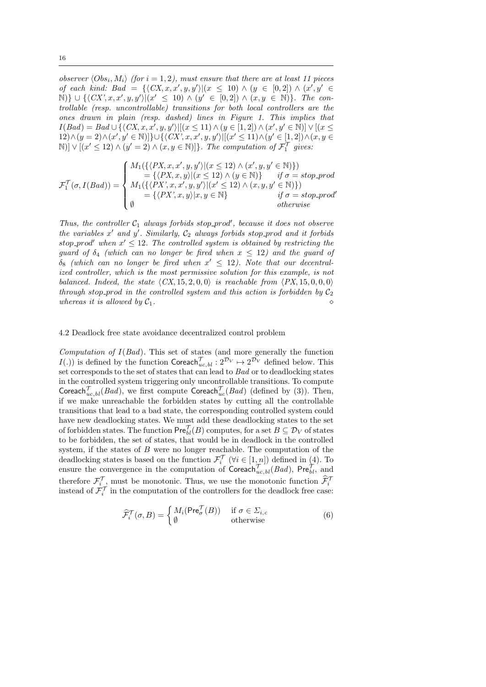observer  $\langle Obs_i, M_i \rangle$  (for  $i = 1, 2$ ), must ensure that there are at least 11 pieces of each kind: Bad = { $\langle CX, x, x', y, y' \rangle | (x \leq 10) \land (y \in [0,2]) \land (x', y' \in$  $\mathbb{N}$ }  $\cup \{ \langle CX', x, x', y, y' \rangle | (x' \leq 10) \land (y' \in [0, 2]) \land (x, y \in \mathbb{N}) \}.$  The controllable (resp. uncontrollable) transitions for both local controllers are the ones drawn in plain (resp. dashed) lines in Figure 1. This implies that  $I(Bad) = Bad \cup \{\langle CX, x, x', y, y'\rangle | [(x \le 11) \land (y \in [1, 2]) \land (x', y' \in \mathbb{N})] \lor [(x \le 11) \land (y' = 1)]\}$ 12)∧ $(y = 2) \land (x', y' \in \mathbb{N})$ }∪{ $\langle CX', x, x', y, y' \rangle$ |[ $(x' \leq 11) \land (y' \in [1, 2]) \land (x, y \in \mathbb{N})$  $[N] \vee [(x' \leq 12) \wedge (y' = 2) \wedge (x, y \in N)]$ . The computation of  $\mathcal{F}_1^{\mathcal{T}}$  gives.

$$
\mathcal{F}_1^{\mathcal{T}}(\sigma, I(Bad)) = \begin{cases} M_1(\{\langle PX, x, x', y, y'\rangle | (x \le 12) \land (x', y, y' \in \mathbb{N})\}) \\ = \{\langle PX, x, y\rangle | (x \le 12) \land (y \in \mathbb{N})\} & \text{if } \sigma = stop\text{-}prod \\ M_1(\{\langle PX', x, x', y, y'\rangle | (x' \le 12) \land (x, y, y' \in \mathbb{N})\}\}) \\ = \{\langle PX', x, y\rangle | x, y \in \mathbb{N}\} & \text{if } \sigma = stop\text{-}prod' \\ \emptyset & \text{otherwise} \end{cases}
$$

Thus, the controller  $C_1$  always forbids stop-prod', because it does not observe the variables  $x'$  and  $y'$ . Similarly,  $C_2$  always forbids stop-prod and it forbids stop prod' when  $x' \leq 12$ . The controlled system is obtained by restricting the guard of  $\delta_4$  (which can no longer be fired when  $x \leq 12$ ) and the guard of  $\delta_8$  (which can no longer be fired when  $x' \leq 12$ ). Note that our decentralized controller, which is the most permissive solution for this example, is not balanced. Indeed, the state  $\langle CX, 15, 2, 0, 0 \rangle$  is reachable from  $\langle PX, 15, 0, 0, 0 \rangle$ through stop prod in the controlled system and this action is forbidden by  $C_2$ whereas it is allowed by  $C_1$ .

#### 4.2 Deadlock free state avoidance decentralized control problem

Computation of  $I(Bad)$ . This set of states (and more generally the function  $I(.)$  is defined by the function Coreach $_{uc,bl}^{\mathcal{T}}$ :  $2^{\mathcal{D}_V} \mapsto 2^{\mathcal{D}_V}$  defined below. This set corresponds to the set of states that can lead to Bad or to deadlocking states in the controlled system triggering only uncontrollable transitions. To compute Coreach $\mathcal{T}_{uc,bl}(Bad)$ , we first compute Coreach $\mathcal{T}_{uc}(Bad)$  (defined by (3)). Then, if we make unreachable the forbidden states by cutting all the controllable transitions that lead to a bad state, the corresponding controlled system could have new deadlocking states. We must add these deadlocking states to the set of forbidden states. The function  $\mathsf{Pre}^{\mathcal{T}}_{bl}(B)$  computes, for a set  $B \subseteq \mathcal{D}_V$  of states to be forbidden, the set of states, that would be in deadlock in the controlled system, if the states of  $B$  were no longer reachable. The computation of the deadlocking states is based on the function  $\mathcal{F}_i^{\mathcal{T}}$  ( $\forall i \in [1,n]$ ) defined in (4). To ensure the convergence in the computation of  $\widehat{\text{Coreach}}_{uc,bl}^{\mathcal{T}}(Bad)$ ,  $\text{Pre}_{bl}^{\mathcal{T}}$ , and therefore  $\mathcal{F}_{i}^{\mathcal{T}}$ , must be monotonic. Thus, we use the monotonic function  $\widehat{\mathcal{F}}_{i}^{\mathcal{T}}$ instead of  $\mathcal{F}^{\mathcal{T}}_i$  in the computation of the controllers for the deadlock free case:

$$
\widehat{\mathcal{F}}_i^{\mathcal{T}}(\sigma, B) = \begin{cases} M_i(\mathsf{Pre}_{\sigma}^{\mathcal{T}}(B)) & \text{if } \sigma \in \Sigma_{i,c} \\ \emptyset & \text{otherwise} \end{cases}
$$
\n(6)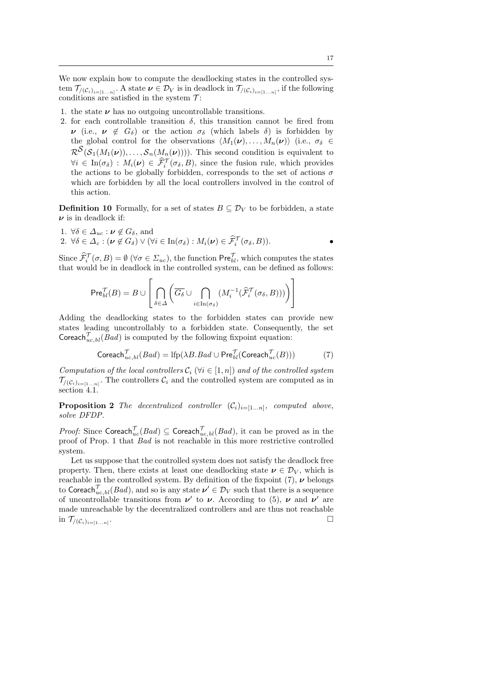We now explain how to compute the deadlocking states in the controlled system  $\mathcal{T}_{/(\mathcal{C}_i)_{i=[1...n]}}$ . A state  $\nu \in \mathcal{D}_V$  is in deadlock in  $\mathcal{T}_{/(\mathcal{C}_i)_{i=[1...n]}}$ , if the following conditions are satisfied in the system  $\mathcal{T}$ :

- 1. the state  $\nu$  has no outgoing uncontrollable transitions.
- 2. for each controllable transition  $\delta$ , this transition cannot be fired from  $\nu$  (i.e.,  $\nu \notin G_{\delta}$ ) or the action  $\sigma_{\delta}$  (which labels  $\delta$ ) is forbidden by the global control for the observations  $\langle M_1(\nu), \ldots, M_n(\nu)\rangle$  (i.e.,  $\sigma_{\delta} \in$  $\mathcal{R}^{\mathcal{S}}(\mathcal{S}_1(M_1(\nu)), \ldots, \mathcal{S}_n(M_n(\nu))))$ . This second condition is equivalent to  $\forall i \in \text{In}(\sigma_{\delta}) : M_i(\nu) \in \hat{\mathcal{F}}_i^{\mathcal{T}}(\sigma_{\delta}, B)$ , since the fusion rule, which provides the actions to be globally forbidden, corresponds to the set of actions  $\sigma$ which are forbidden by all the local controllers involved in the control of this action.

**Definition 10** Formally, for a set of states  $B \subseteq \mathcal{D}_V$  to be forbidden, a state  $\nu$  is in deadlock if:

1.  $\forall \delta \in \Delta_{uc} : \nu \notin G_{\delta},$  and 2.  $\forall \delta \in \Delta_c : (\nu \notin G_\delta) \vee (\forall i \in \text{In}(\sigma_\delta) : M_i(\nu) \in \widehat{\mathcal{F}}_i^{\mathcal{T}}(\sigma_\delta, B)).$ 

Since  $\hat{\mathcal{F}}_i^{\mathcal{T}}(\sigma, B) = \emptyset \ (\forall \sigma \in \Sigma_{uc}),$  the function  $\mathsf{Pre}^{\mathcal{T}}_{bl}$ , which computes the states that would be in deadlock in the controlled system, can be defined as follows:

$$
\mathsf{Pre}^{\mathcal{T}}_{bl}(B) = B \cup \left[ \bigcap_{\delta \in \Delta} \left( \overline{G_{\delta}} \cup \bigcap_{i \in \mathrm{In}(\sigma_{\delta})} (M_i^{-1}(\widehat{\mathcal{F}}_i^{\mathcal{T}}(\sigma_{\delta}, B))) \right) \right]
$$

Adding the deadlocking states to the forbidden states can provide new states leading uncontrollably to a forbidden state. Consequently, the set Coreach $u_{u,bl}(Bad)$  is computed by the following fixpoint equation:

$$
\text{Coreach}_{uc, bl}^{\mathcal{T}}(Bad) = \text{lfp}(\lambda B. Bad \cup \text{Pre}_{bl}^{\mathcal{T}}(\text{Coreach}_{uc}^{\mathcal{T}}(B))) \tag{7}
$$

Computation of the local controllers  $C_i$  ( $\forall i \in [1, n]$ ) and of the controlled system  $\mathcal{T}_{/(\mathcal{C}_i)_{i=[1...n]}}$ . The controllers  $\mathcal{C}_i$  and the controlled system are computed as in section 4.1.

**Proposition 2** The decentralized controller  $(C_i)_{i=[1...n]}$ , computed above, solve DFDP.

*Proof:* Since Coreach $u_c(Bad) \subseteq \text{Coreach}_{uc,bl}(Bad)$ , it can be proved as in the proof of Prop. 1 that Bad is not reachable in this more restrictive controlled system.

Let us suppose that the controlled system does not satisfy the deadlock free property. Then, there exists at least one deadlocking state  $\nu \in \mathcal{D}_V$ , which is reachable in the controlled system. By definition of the fixpoint  $(7)$ ,  $\nu$  belongs to Coreach $\mathcal{T}_{uc,bl}(Bad)$ , and so is any state  $\nu' \in \mathcal{D}_V$  such that there is a sequence of uncontrollable transitions from  $\nu'$  to  $\nu$ . According to (5),  $\nu$  and  $\nu'$  are made unreachable by the decentralized controllers and are thus not reachable in  $\mathcal{T}_{/(\mathcal{C}_i)_{i=[1...n]}}$ . .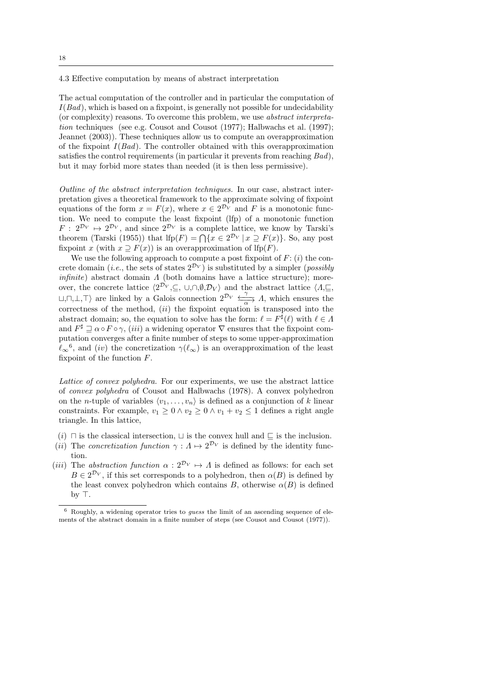4.3 Effective computation by means of abstract interpretation

The actual computation of the controller and in particular the computation of  $I(Bad)$ , which is based on a fixpoint, is generally not possible for undecidability (or complexity) reasons. To overcome this problem, we use abstract interpretation techniques (see e.g. Cousot and Cousot (1977); Halbwachs et al. (1997); Jeannet (2003)). These techniques allow us to compute an overapproximation of the fixpoint  $I(Bad)$ . The controller obtained with this overapproximation satisfies the control requirements (in particular it prevents from reaching  $Bad$ ), but it may forbid more states than needed (it is then less permissive).

Outline of the abstract interpretation techniques. In our case, abstract interpretation gives a theoretical framework to the approximate solving of fixpoint equations of the form  $x = F(x)$ , where  $x \in 2^{\mathcal{D}_V}$  and F is a monotonic function. We need to compute the least fixpoint (lfp) of a monotonic function  $F: 2^{\mathcal{D}_V} \mapsto 2^{\mathcal{D}_V}$ , and since  $2^{\mathcal{D}_V}$  is a complete lattice, we know by Tarski's theorem (Tarski (1955)) that  $\text{Ifp}(F) = \bigcap \{x \in 2^{\mathcal{D}_V} \mid x \supseteq F(x)\}.$  So, any post fixpoint x (with  $x \supseteq F(x)$ ) is an overapproximation of lfp(F).

We use the following approach to compute a post fixpoint of  $F: (i)$  the concrete domain (*i.e.*, the sets of states  $2^{\mathcal{D}_V}$ ) is substituted by a simpler (*possibly*  $infinite$ ) abstract domain  $\Lambda$  (both domains have a lattice structure); moreover, the concrete lattice  $\langle 2^{\mathcal{D}_V}, \subseteq, \cup, \cap, \emptyset, \mathcal{D}_V \rangle$  and the abstract lattice  $\langle \Lambda, \subseteq, \rangle$  $\Box, \Box, \bot, \top$  are linked by a Galois connection  $2^{\mathcal{D}_V} \xrightarrow{\tau \top}$  $\frac{\gamma}{\gamma}$  *A*, which ensures the correctness of the method,  $(ii)$  the fixpoint equation is transposed into the abstract domain; so, the equation to solve has the form:  $\ell = F^{\sharp}(\ell)$  with  $\ell \in \Lambda$ and  $F^{\sharp} \supseteq \alpha \circ F \circ \gamma$ , (*iii*) a widening operator  $\nabla$  ensures that the fixpoint computation converges after a finite number of steps to some upper-approximation  $\ell_{\infty}^6$ , and (iv) the concretization  $\gamma(\ell_{\infty})$  is an overapproximation of the least fixpoint of the function F.

Lattice of convex polyhedra. For our experiments, we use the abstract lattice of convex polyhedra of Cousot and Halbwachs (1978). A convex polyhedron on the *n*-tuple of variables  $\langle v_1, \ldots, v_n \rangle$  is defined as a conjunction of k linear constraints. For example,  $v_1 \geq 0 \wedge v_2 \geq 0 \wedge v_1 + v_2 \leq 1$  defines a right angle triangle. In this lattice,

- (i)  $\Box$  is the classical intersection,  $\Box$  is the convex hull and  $\Box$  is the inclusion.
- (*ii*) The concretization function  $\gamma : A \mapsto 2^{\mathcal{D}_V}$  is defined by the identity function.
- (iii) The abstraction function  $\alpha : 2^{\mathcal{D}_V} \to \Lambda$  is defined as follows: for each set  $B \in 2^{\mathcal{D}_V}$ , if this set corresponds to a polyhedron, then  $\alpha(B)$  is defined by the least convex polyhedron which contains B, otherwise  $\alpha(B)$  is defined by ⊤.

 $6$  Roughly, a widening operator tries to *guess* the limit of an ascending sequence of elements of the abstract domain in a finite number of steps (see Cousot and Cousot (1977)).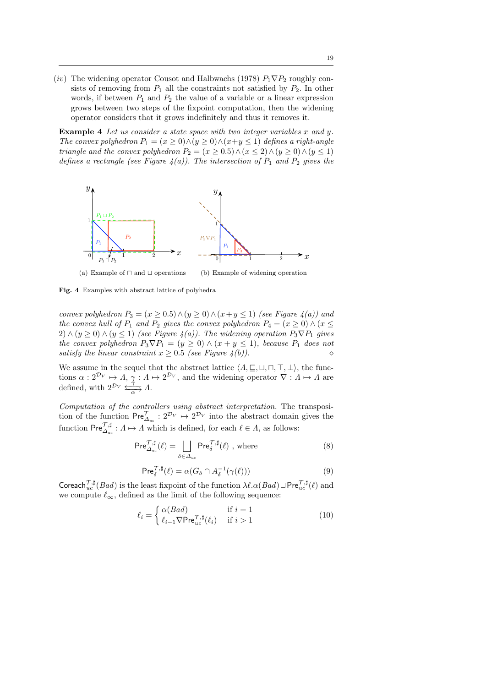(iv) The widening operator Cousot and Halbwachs (1978)  $P_1 \nabla P_2$  roughly consists of removing from  $P_1$  all the constraints not satisfied by  $P_2$ . In other words, if between  $P_1$  and  $P_2$  the value of a variable or a linear expression grows between two steps of the fixpoint computation, then the widening operator considers that it grows indefinitely and thus it removes it.

**Example 4** Let us consider a state space with two integer variables x and y. The convex polyhedron  $P_1 = (x \ge 0) \wedge (y \ge 0) \wedge (x+y \le 1)$  defines a right-angle triangle and the convex polyhedron  $P_2 = (x \ge 0.5) \wedge (x \le 2) \wedge (y \ge 0) \wedge (y \le 1)$ defines a rectangle (see Figure  $4(a)$ ). The intersection of  $P_1$  and  $P_2$  gives the



(a) Example of ⊓ and ⊔ operations (b) Example of widening operation

Fig. 4 Examples with abstract lattice of polyhedra

convex polyhedron  $P_3 = (x \ge 0.5) \wedge (y \ge 0) \wedge (x + y \le 1)$  (see Figure 4(a)) and the convex hull of  $P_1$  and  $P_2$  gives the convex polyhedron  $P_4 = (x \geq 0) \wedge (x \leq$ 2)  $\wedge$  (y  $\geq$  0)  $\wedge$  (y  $\leq$  1) (see Figure 4(a)). The widening operation  $P_3 \nabla P_1$  gives the convex polyhedron  $P_3 \nabla P_1 = (y \ge 0) \wedge (x + y \le 1)$ , because  $P_1$  does not satisfy the linear constraint  $x \geq 0.5$  (see Figure 4(b)).

We assume in the sequel that the abstract lattice  $\langle \Lambda, \subseteq, \sqcup, \sqcap, \top, \bot \rangle$ , the functions  $\alpha: 2^{\mathcal{D}_V} \mapsto A, \gamma: A \mapsto 2^{\mathcal{D}_V}$ , and the widening operator  $\nabla: A \mapsto A$  are defined, with  $2^{\mathcal{D}_V} \xrightarrow{\tau}$  $\frac{\gamma}{\gamma}$   $\Lambda$ .

Computation of the controllers using abstract interpretation. The transposition of the function  $\text{Pre}^{\mathcal{T}}_{\Delta_{uc}}: 2^{\mathcal{D}_V} \to 2^{\mathcal{D}_V}$  into the abstract domain gives the function  $\mathsf{Pre}_{\Delta_{uc}}^{\mathcal{T},\sharp}: A \mapsto A$  which is defined, for each  $\ell \in A$ , as follows:

$$
\mathsf{Pre}_{\Delta_{uc}}^{\mathcal{T},\sharp}(\ell) = \bigsqcup_{\delta \in \Delta_{uc}} \mathsf{Pre}_{\delta}^{\mathcal{T},\sharp}(\ell) , \text{ where}
$$
 (8)

$$
\mathsf{Pre}_{\delta}^{\mathcal{T},\sharp}(\ell) = \alpha(G_{\delta} \cap A_{\delta}^{-1}(\gamma(\ell)))\tag{9}
$$

Coreach  $\mathcal{T}_{uc}^{\sharp}(Bad)$  is the least fixpoint of the function  $\lambda \ell \alpha(Bad) \sqcup Pre_{uc}^{\mathcal{T},\sharp}(\ell)$  and we compute  $\ell_{\infty}$ , defined as the limit of the following sequence:

$$
\ell_i = \begin{cases} \alpha(Bad) & \text{if } i = 1\\ \ell_{i-1} \nabla \text{Pre}_{uc}^{T,\sharp}(\ell_i) & \text{if } i > 1 \end{cases}
$$
(10)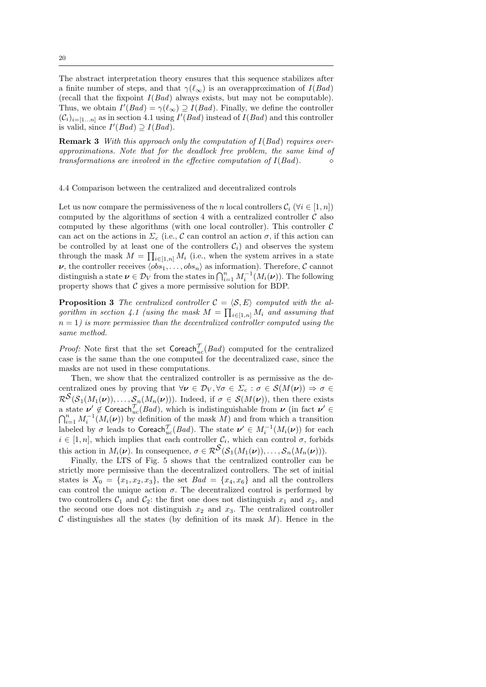The abstract interpretation theory ensures that this sequence stabilizes after a finite number of steps, and that  $\gamma(\ell_{\infty})$  is an overapproximation of  $I(Bad)$ (recall that the fixpoint  $I(Bad)$  always exists, but may not be computable). Thus, we obtain  $I'(Bad) = \gamma(\ell_{\infty}) \supseteq I(Bad)$ . Finally, we define the controller  $(C_i)_{i=[1...n]}$  as in section 4.1 using  $I'(Bad)$  instead of  $I(Bad)$  and this controller is valid, since  $I'(Bad) \supseteq I(Bad)$ .

**Remark 3** With this approach only the computation of  $I(Bad)$  requires overapproximations. Note that for the deadlock free problem, the same kind of transformations are involved in the effective computation of  $I(Bad)$ .  $\Diamond$ 

4.4 Comparison between the centralized and decentralized controls

Let us now compare the permissiveness of the n local controllers  $\mathcal{C}_i$  ( $\forall i \in [1, n]$ ) computed by the algorithms of section 4 with a centralized controller  $\mathcal C$  also computed by these algorithms (with one local controller). This controller  $C$ can act on the actions in  $\Sigma_c$  (i.e., C can control an action  $\sigma$ , if this action can be controlled by at least one of the controllers  $\mathcal{C}_i$ ) and observes the system through the mask  $M = \prod_{i \in [1,n]} M_i$  (i.e., when the system arrives in a state  $\nu$ , the controller receives  $\langle obs_1, \ldots, obs_n \rangle$  as information). Therefore, C cannot distinguish a state  $\nu \in \mathcal{D}_V$  from the states in  $\bigcap_{i=1}^n M_i^{-1}(M_i(\nu))$ . The following property shows that  $\mathcal C$  gives a more permissive solution for BDP.

**Proposition 3** The centralized controller  $C = \langle S, E \rangle$  computed with the algorithm in section 4.1 (using the mask  $M = \prod_{i \in [1,n]} M_i$  and assuming that  $n = 1$ ) is more permissive than the decentralized controller computed using the same method.

*Proof:* Note first that the set  $\text{Coreach}_{uc}^{\mathcal{T}}(Bad)$  computed for the centralized case is the same than the one computed for the decentralized case, since the masks are not used in these computations.

Then, we show that the centralized controller is as permissive as the decentralized ones by proving that  $\forall \nu \in \mathcal{D}_V, \forall \sigma \in \Sigma_c : \sigma \in \mathcal{S}(M(\nu)) \Rightarrow \sigma \in$  $\mathcal{R}^S(\mathcal{S}_1(M_1(\nu)),\ldots,\mathcal{S}_n(M_n(\nu)))$ . Indeed, if  $\sigma \in \mathcal{S}(M(\nu))$ , then there exists a state  $\nu' \notin \text{Coreach}_{uc}^{\mathcal{T}}(Bad)$ , which is indistinguishable from  $\nu$  (in fact  $\nu' \in$  $\bigcap_{i=1}^n M_i^{-1}(M_i(\nu))$  by definition of the mask M) and from which a transition labeled by  $\sigma$  leads to Coreach $_{uc}^{\mathcal{T}}(Bad)$ . The state  $\nu' \in M_i^{-1}(M_i(\nu))$  for each  $i \in [1, n]$ , which implies that each controller  $\mathcal{C}_i$ , which can control  $\sigma$ , forbids this action in  $M_i(\nu)$ . In consequence,  $\sigma \in \mathcal{R}^{\mathcal{S}}(\mathcal{S}_1(M_1(\nu)), \ldots, \mathcal{S}_n(M_n(\nu))).$ 

Finally, the LTS of Fig. 5 shows that the centralized controller can be strictly more permissive than the decentralized controllers. The set of initial states is  $X_0 = \{x_1, x_2, x_3\}$ , the set  $Bad = \{x_4, x_6\}$  and all the controllers can control the unique action  $\sigma$ . The decentralized control is performed by two controllers  $C_1$  and  $C_2$ : the first one does not distinguish  $x_1$  and  $x_2$ , and the second one does not distinguish  $x_2$  and  $x_3$ . The centralized controller C distinguishes all the states (by definition of its mask  $M$ ). Hence in the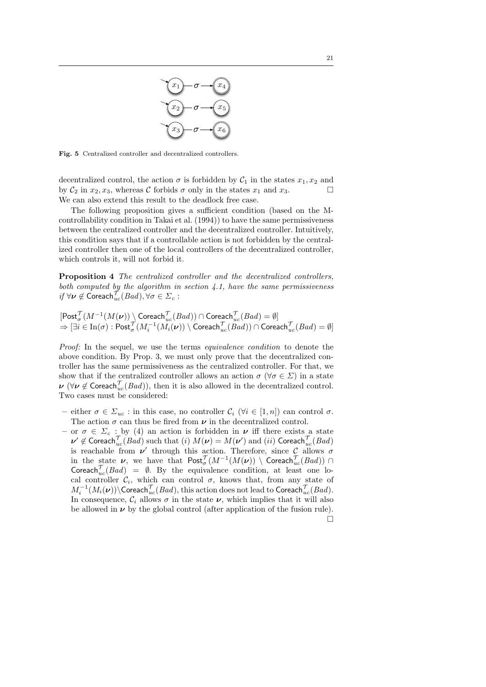

Fig. 5 Centralized controller and decentralized controllers.

decentralized control, the action  $\sigma$  is forbidden by  $C_1$  in the states  $x_1, x_2$  and by  $C_2$  in  $x_2, x_3$ , whereas C forbids  $\sigma$  only in the states  $x_1$  and  $x_3$ . We can also extend this result to the deadlock free case.

The following proposition gives a sufficient condition (based on the Mcontrollability condition in Takai et al. (1994)) to have the same permissiveness between the centralized controller and the decentralized controller. Intuitively, this condition says that if a controllable action is not forbidden by the centralized controller then one of the local controllers of the decentralized controller, which controls it, will not forbid it.

Proposition 4 The centralized controller and the decentralized controllers, both computed by the algorithm in section  $4.1$ , have the same permissiveness  $if \ \forall \boldsymbol{\nu} \not\in \mathsf{Coreach}_{uc}^{\mathcal{T}}(Bad), \forall \sigma \in \varSigma_{c}$ :

$$
\begin{array}{l} [\mathsf{Post}^{\mathcal{T}}_{\sigma}(M^{-1}(M(\nu))\setminus\mathsf{Create}_{uc}^{\mathcal{T}}(Bad))\cap\mathsf{Create}_{uc}^{\mathcal{T}}(Bad)=\emptyset] \\ \Rightarrow [\exists i\in \mathrm{In}(\sigma):\mathsf{Post}^{\mathcal{T}}_{\sigma}(M_{i}^{-1}(M_{i}(\nu))\setminus\mathsf{Create}_{uc}^{\mathcal{T}}(Bad))\cap\mathsf{Create}_{uc}^{\mathcal{T}}(Bad)=\emptyset] \end{array}
$$

Proof: In the sequel, we use the terms *equivalence condition* to denote the above condition. By Prop. 3, we must only prove that the decentralized controller has the same permissiveness as the centralized controller. For that, we show that if the centralized controller allows an action  $\sigma$  ( $\forall \sigma \in \Sigma$ ) in a state  $\nu (\forall \nu \notin \text{Coreach}_{uc}^{\mathcal{T}}(Bad)),$  then it is also allowed in the decentralized control. Two cases must be considered:

- either  $\sigma \in \Sigma_{uc}$ : in this case, no controller  $\mathcal{C}_i$  ( $\forall i \in [1, n]$ ) can control  $\sigma$ . The action  $\sigma$  can thus be fired from  $\nu$  in the decentralized control.
- or  $\sigma \in \Sigma_c$ : by (4) an action is forbidden in  $\nu$  iff there exists a state  $\bm{\nu}' \not\in \mathsf{Coreach}_{uc}^{\mathcal{T}}(Bad)$  such that  $(i)$   $M(\bm{\nu}) = M(\bm{\nu}')$  and  $(ii)$   $\mathsf{Coreach}_{uc}^{\mathcal{T}}(Bad)$ is reachable from  $\nu'$  through this action. Therefore, since C allows  $\sigma$ in the state  $\nu$ , we have that  $\text{Post}_{\sigma}^{\mathcal{T}}(M^{-1}(M(\nu)) \setminus \text{Coreach}_{uc}^{\mathcal{T}}(Bad)) \cap$ Coreach $u_c(Bad) = \emptyset$ . By the equivalence condition, at least one local controller  $\mathcal{C}_i$ , which can control  $\sigma$ , knows that, from any state of  $M_i^{-1}(M_i(\bm{\nu}))\backslash\mathsf{Coreach}_{uc}^{\mathcal{T}}(Bad),$  this action does not lead to  $\mathsf{Coreach}_{uc}^{\mathcal{T}}(Bad).$ In consequence,  $\mathcal{C}_i$  allows  $\sigma$  in the state  $\nu$ , which implies that it will also be allowed in  $\nu$  by the global control (after application of the fusion rule).  $\Box$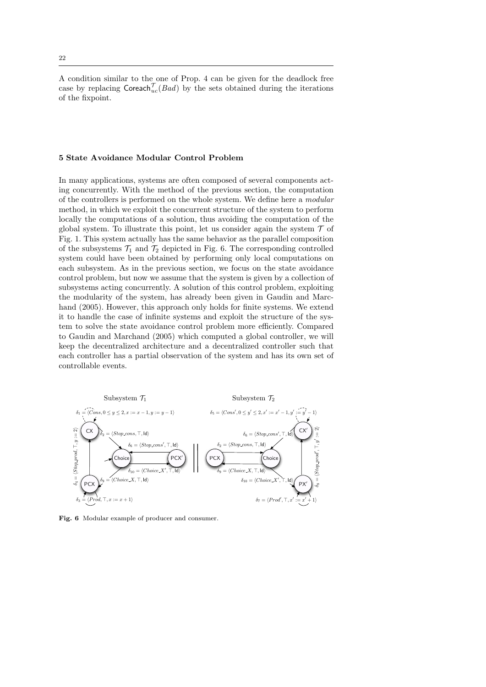A condition similar to the one of Prop. 4 can be given for the deadlock free case by replacing Coreach $_{uc}^{T}(Bad)$  by the sets obtained during the iterations of the fixpoint.

#### 5 State Avoidance Modular Control Problem

In many applications, systems are often composed of several components acting concurrently. With the method of the previous section, the computation of the controllers is performed on the whole system. We define here a modular method, in which we exploit the concurrent structure of the system to perform locally the computations of a solution, thus avoiding the computation of the global system. To illustrate this point, let us consider again the system  $\mathcal T$  of Fig. 1. This system actually has the same behavior as the parallel composition of the subsystems  $\mathcal{T}_1$  and  $\mathcal{T}_2$  depicted in Fig. 6. The corresponding controlled system could have been obtained by performing only local computations on each subsystem. As in the previous section, we focus on the state avoidance control problem, but now we assume that the system is given by a collection of subsystems acting concurrently. A solution of this control problem, exploiting the modularity of the system, has already been given in Gaudin and Marchand (2005). However, this approach only holds for finite systems. We extend it to handle the case of infinite systems and exploit the structure of the system to solve the state avoidance control problem more efficiently. Compared to Gaudin and Marchand (2005) which computed a global controller, we will keep the decentralized architecture and a decentralized controller such that each controller has a partial observation of the system and has its own set of controllable events.



Fig. 6 Modular example of producer and consumer.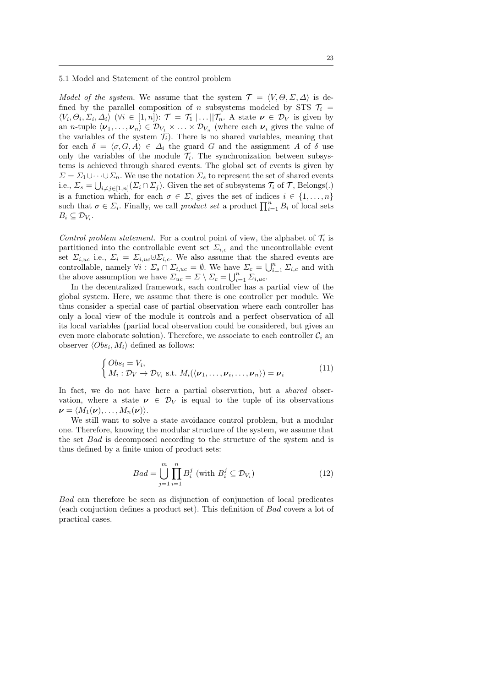5.1 Model and Statement of the control problem

Model of the system. We assume that the system  $\mathcal{T} = \langle V, \Theta, \Sigma, \Delta \rangle$  is defined by the parallel composition of n subsystems modeled by STS  $\mathcal{T}_i$  =  $\langle V_i, \Theta_i, \Sigma_i, \Delta_i \rangle$   $(\forall i \in [1, n])$ :  $\mathcal{T} = \mathcal{T}_1 || \dots || \mathcal{T}_n$ . A state  $\nu \in \mathcal{D}_V$  is given by an *n*-tuple  $\langle \nu_1, \ldots, \nu_n \rangle \in \mathcal{D}_{V_1} \times \ldots \times \mathcal{D}_{V_n}$  (where each  $\nu_i$  gives the value of the variables of the system  $\mathcal{T}_i$ ). There is no shared variables, meaning that for each  $\delta = \langle \sigma, G, A \rangle \in \Delta_i$  the guard G and the assignment A of  $\delta$  use only the variables of the module  $\mathcal{T}_i$ . The synchronization between subsystems is achieved through shared events. The global set of events is given by  $\Sigma = \Sigma_1 \cup \cdots \cup \Sigma_n$ . We use the notation  $\Sigma_s$  to represent the set of shared events i.e.,  $\Sigma_s = \bigcup_{i \neq j \in [1,n]} (\Sigma_i \cap \Sigma_j)$ . Given the set of subsystems  $\mathcal{T}_i$  of  $\mathcal{T}$ , Belongs(.) is a function which, for each  $\sigma \in \Sigma$ , gives the set of indices  $i \in \{1, \ldots, n\}$ such that  $\sigma \in \Sigma_i$ . Finally, we call *product set* a product  $\prod_{i=1}^n B_i$  of local sets  $B_i \subseteq \mathcal{D}_{V_i}.$ 

Control problem statement. For a control point of view, the alphabet of  $\mathcal{T}_i$  is partitioned into the controllable event set  $\Sigma_{i,c}$  and the uncontrollable event set  $\Sigma_{i,uc}$  i.e.,  $\Sigma_i = \Sigma_{i,uc} \cup \Sigma_{i,c}$ . We also assume that the shared events are controllable, namely  $\forall i : \Sigma_s \cap \Sigma_{i,uc} = \emptyset$ . We have  $\Sigma_c = \bigcup_{i=1}^n \Sigma_{i,c}$  and with the above assumption we have  $\Sigma_{uc} = \Sigma \setminus \Sigma_c = \bigcup_{i=1}^n \Sigma_{i,uc}$ .

In the decentralized framework, each controller has a partial view of the global system. Here, we assume that there is one controller per module. We thus consider a special case of partial observation where each controller has only a local view of the module it controls and a perfect observation of all its local variables (partial local observation could be considered, but gives an even more elaborate solution). Therefore, we associate to each controller  $\mathcal{C}_i$  and observer  $\langle Obs_i, M_i \rangle$  defined as follows:

$$
\begin{cases} Obs_i = V_i, \\ M_i: \mathcal{D}_V \to \mathcal{D}_{V_i} \text{ s.t. } M_i(\langle \boldsymbol{\nu}_1, \dots, \boldsymbol{\nu}_i, \dots, \boldsymbol{\nu}_n \rangle) = \boldsymbol{\nu}_i \end{cases}
$$
(11)

In fact, we do not have here a partial observation, but a *shared* observation, where a state  $\nu \in \mathcal{D}_V$  is equal to the tuple of its observations  $\nu = \langle M_1(\nu), \ldots, M_n(\nu) \rangle$ .

We still want to solve a state avoidance control problem, but a modular one. Therefore, knowing the modular structure of the system, we assume that the set Bad is decomposed according to the structure of the system and is thus defined by a finite union of product sets:

$$
Bad = \bigcup_{j=1}^{m} \prod_{i=1}^{n} B_i^j \text{ (with } B_i^j \subseteq \mathcal{D}_{V_i})
$$
 (12)

Bad can therefore be seen as disjunction of conjunction of local predicates (each conjuction defines a product set). This definition of Bad covers a lot of practical cases.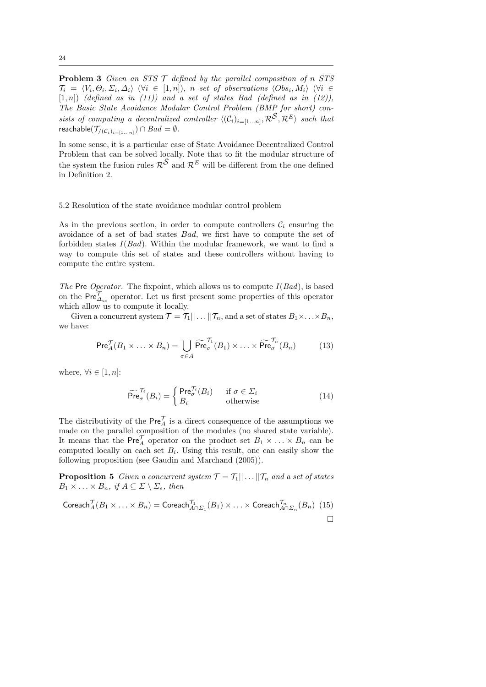**Problem 3** Given an STS  $\mathcal{T}$  defined by the parallel composition of n STS  $\mathcal{T}_i \;=\; \langle V_i, \Theta_i, \Sigma_i, \Delta_i \rangle \;\: (\forall i \; \in \; [1,n]), \; n \; \textit{set \; of \; observations} \; \langle Obs_i, M_i \rangle \;\: (\forall i \; \in \; \mathcal{S}_i)$  $[1, n]$ ) (defined as in  $(11)$ ) and a set of states Bad (defined as in  $(12)$ ), The Basic State Avoidance Modular Control Problem (BMP for short) consists of computing a decentralized controller  $\langle (C_i)_{i=[1...n]}, \mathcal{R}^{\mathcal{S}}, \mathcal{R}^E \rangle$  such that reachable $(\mathcal{T}_{/(\mathcal{C}_i)_{i=[1...n]}}) \cap Bad = \emptyset$ .

In some sense, it is a particular case of State Avoidance Decentralized Control Problem that can be solved locally. Note that to fit the modular structure of the system the fusion rules  $\mathcal{R}^{\mathcal{S}}$  and  $\mathcal{R}^E$  will be different from the one defined in Definition 2.

5.2 Resolution of the state avoidance modular control problem

As in the previous section, in order to compute controllers  $\mathcal{C}_i$  ensuring the avoidance of a set of bad states Bad, we first have to compute the set of forbidden states  $I(Bad)$ . Within the modular framework, we want to find a way to compute this set of states and these controllers without having to compute the entire system.

The Pre Operator. The fixpoint, which allows us to compute  $I(Bad)$ , is based on the Pre $\mathcal{I}_{ac}$  operator. Let us first present some properties of this operator which allow us to compute it locally.

Given a concurrent system  $\mathcal{T} = \mathcal{T}_1 || \dots || \mathcal{T}_n$ , and a set of states  $B_1 \times \dots \times B_n$ , we have:

$$
\text{Pre}_{A}^{\mathcal{T}}(B_1 \times \ldots \times B_n) = \bigcup_{\sigma \in A} \widetilde{\text{Pre}}_{\sigma}^{\mathcal{T}_1}(B_1) \times \ldots \times \widetilde{\text{Pre}}_{\sigma}^{\mathcal{T}_n}(B_n) \tag{13}
$$

where,  $\forall i \in [1, n]$ :

$$
\widetilde{\text{Pre}}_{\sigma}^{\mathcal{T}_i}(B_i) = \begin{cases} \text{Pre}_{\sigma}^{\mathcal{T}_i}(B_i) & \text{if } \sigma \in \Sigma_i \\ B_i & \text{otherwise} \end{cases}
$$
\n(14)

The distributivity of the  $\text{Pre}_{A}^{\mathcal{T}}$  is a direct consequence of the assumptions we made on the parallel composition of the modules (no shared state variable). It means that the Pre $_A^{\mathcal{T}}$  operator on the product set  $B_1 \times \ldots \times B_n$  can be computed locally on each set  $B_i$ . Using this result, one can easily show the following proposition (see Gaudin and Marchand  $(2005)$ ).

**Proposition 5** Given a concurrent system  $\mathcal{T} = \mathcal{T}_1 || \dots || \mathcal{T}_n$  and a set of states  $B_1 \times \ldots \times B_n$ , if  $A \subseteq \Sigma \setminus \Sigma_s$ , then

$$
\text{Coreach}_{A}^{\mathcal{T}}(B_1 \times \ldots \times B_n) = \text{Coreach}_{A \cap \Sigma_1}^{\mathcal{T}_1}(B_1) \times \ldots \times \text{Coreach}_{A \cap \Sigma_n}^{\mathcal{T}_n}(B_n) \tag{15}
$$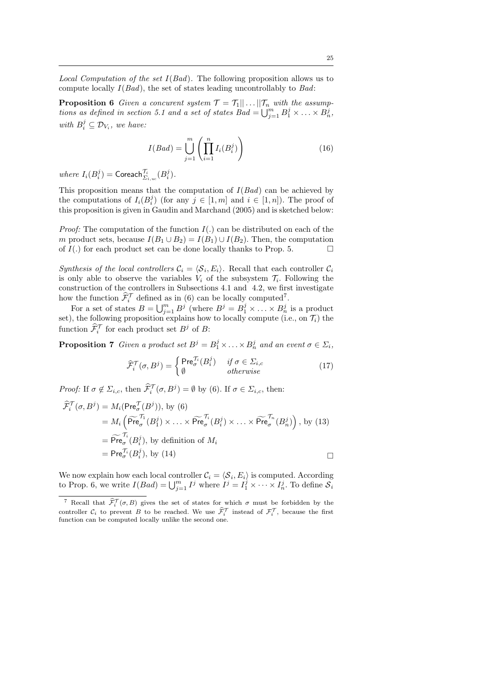*Local Computation of the set I(Bad)*. The following proposition allows us to compute locally  $I(Bad)$ , the set of states leading uncontrollably to  $Bad:$ 

**Proposition 6** Given a concurent system  $\mathcal{T} = \mathcal{T}_1 || \dots || \mathcal{T}_n$  with the assumptions as defined in section 5.1 and a set of states  $Bad = \bigcup_{j=1}^{m} B_1^j \times \ldots \times B_n^j$ , with  $B_i^j \subseteq \mathcal{D}_{V_i}$ , we have:

$$
I(Bad) = \bigcup_{j=1}^{m} \left( \prod_{i=1}^{n} I_i(B_i^j) \right)
$$
 (16)

where  $I_i(B_i^j) = \text{Coreach}_{\Sigma_{i,uc}}^{T_i}(B_i^j)$ .

This proposition means that the computation of  $I(Bad)$  can be achieved by the computations of  $I_i(B_i^j)$  (for any  $j \in [1, m]$  and  $i \in [1, n]$ ). The proof of this proposition is given in Gaudin and Marchand (2005) and is sketched below:

*Proof:* The computation of the function  $I(.)$  can be distributed on each of the m product sets, because  $I(B_1 \cup B_2) = I(B_1) \cup I(B_2)$ . Then, the computation of  $I(.)$  for each product set can be done locally thanks to Prop. 5.

Synthesis of the local controllers  $C_i = \langle S_i, E_i \rangle$ . Recall that each controller  $C_i$ is only able to observe the variables  $V_i$  of the subsystem  $\mathcal{T}_i$ . Following the construction of the controllers in Subsections 4.1 and 4.2, we first investigate how the function  $\hat{\mathcal{F}}_i^{\mathcal{T}}$  defined as in (6) can be locally computed<sup>7</sup>.

For a set of states  $B = \bigcup_{j=1}^m B^j$  (where  $B^j = B_1^j \times \ldots \times B_n^j$  is a product set), the following proposition explains how to locally compute (i.e., on  $\mathcal{T}_i$ ) the function  $\mathcal{F}_i^{\mathcal{T}}$  for each product set  $B^j$  of B:

**Proposition 7** Given a product set  $B^j = B_1^j \times \ldots \times B_n^j$  and an event  $\sigma \in \Sigma_i$ ,

$$
\widehat{\mathcal{F}}_i^{\mathcal{T}}(\sigma, B^j) = \begin{cases}\n\text{Pre}_{\sigma}^{\mathcal{T}_i}(B_i^j) & \text{if } \sigma \in \Sigma_{i,c} \\
\emptyset & \text{otherwise}\n\end{cases}
$$
\n(17)

Proof: If  $\sigma \notin \Sigma_{i,c}$ , then  $\mathcal{F}_i^{\mathcal{T}}(\sigma, B^j) = \emptyset$  by (6). If  $\sigma \in \Sigma_{i,c}$ , then:

$$
\hat{\mathcal{F}}_i^{\mathcal{T}}(\sigma, B^j) = M_i(\text{Pre}^{\mathcal{T}}_{\sigma}(B^j)), \text{ by (6)}
$$
\n
$$
= M_i\left(\widetilde{\text{Pre}}_{\sigma}^{\mathcal{T}_1}(B_1^j) \times \ldots \times \widetilde{\text{Pre}}_{\sigma}^{\mathcal{T}_i}(B_i^j) \times \ldots \times \widetilde{\text{Pre}}_{\sigma}^{\mathcal{T}_n}(B_n^j)\right), \text{ by (13)}
$$
\n
$$
= \widetilde{\text{Pre}}_{\sigma}^{\mathcal{T}_i}(B_i^j), \text{ by definition of } M_i
$$
\n
$$
= \text{Pre}^{\mathcal{T}_i}_{\sigma}(B_i^j), \text{ by (14)}
$$

We now explain how each local controller  $\mathcal{C}_i = \langle \mathcal{S}_i, E_i \rangle$  is computed. According to Prop. 6, we write  $I(Bad) = \bigcup_{j=1}^{m} I^j$  where  $I^j = I_1^j \times \cdots \times I_n^j$ . To define  $S_i$ 

<sup>&</sup>lt;sup>7</sup> Recall that  $\hat{\mathcal{F}}_i^{\mathcal{T}}(\sigma, B)$  gives the set of states for which  $\sigma$  must be forbidden by the controller  $C_i$  to prevent B to be reached. We use  $\hat{\mathcal{F}}_i^{\mathcal{T}}$  instead of  $\mathcal{F}_i^{\mathcal{T}}$ , because the first function can be computed locally unlike the second one.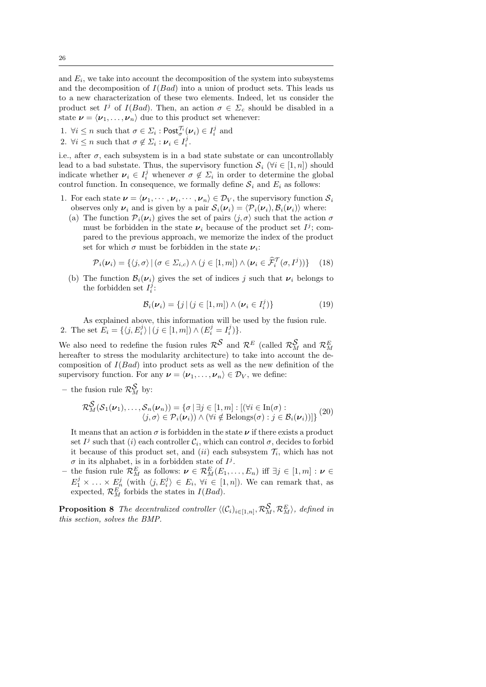and  $E_i$ , we take into account the decomposition of the system into subsystems and the decomposition of  $I(Bad)$  into a union of product sets. This leads us to a new characterization of these two elements. Indeed, let us consider the product set  $I^j$  of  $I(Bad)$ . Then, an action  $\sigma \in \Sigma_c$  should be disabled in a state  $\boldsymbol{\nu} = \langle \boldsymbol{\nu}_1, \dots, \boldsymbol{\nu}_n \rangle$  due to this product set whenever:

- 1.  $\forall i \leq n$  such that  $\sigma \in \Sigma_i : \mathsf{Post}^{\mathcal{T}_i}_{\sigma}(\nu_i) \in I_i^j$  and
- 2.  $\forall i \leq n$  such that  $\sigma \notin \Sigma_i : \nu_i \in I_i^j$ .

i.e., after  $\sigma$ , each subsystem is in a bad state substate or can uncontrollably lead to a bad substate. Thus, the supervisory function  $S_i$  ( $\forall i \in [1, n]$ ) should indicate whether  $v_i \in I_i^j$  whenever  $\sigma \notin \Sigma_i$  in order to determine the global control function. In consequence, we formally define  $S_i$  and  $E_i$  as follows:

- 1. For each state  $\mathbf{v} = \langle \mathbf{v}_1, \cdots, \mathbf{v}_i, \cdots, \mathbf{v}_n \rangle \in \mathcal{D}_V$ , the supervisory function  $\mathcal{S}_i$ observes only  $v_i$  and is given by a pair  $S_i(v_i) = \langle \mathcal{P}_i(v_i), \mathcal{B}_i(v_i) \rangle$  where:
	- (a) The function  $\mathcal{P}_i(\nu_i)$  gives the set of pairs  $\langle j, \sigma \rangle$  such that the action  $\sigma$ must be forbidden in the state  $\nu_i$  because of the product set  $I^j$ ; compared to the previous approach, we memorize the index of the product set for which  $\sigma$  must be forbidden in the state  $\nu_i$ :

$$
\mathcal{P}_i(\nu_i) = \{ \langle j, \sigma \rangle \, | \, (\sigma \in \Sigma_{i,c}) \land (j \in [1,m]) \land (\nu_i \in \widehat{\mathcal{F}}_i^{\mathcal{T}}(\sigma, I^j)) \} \tag{18}
$$

(b) The function  $\mathcal{B}_i(\nu_i)$  gives the set of indices j such that  $\nu_i$  belongs to the forbidden set  $I_i^j$ :

$$
\mathcal{B}_i(\nu_i) = \{j \mid (j \in [1, m]) \land (\nu_i \in I_i^j)\}\tag{19}
$$

As explained above, this information will be used by the fusion rule. 2. The set  $E_i = \{ \langle j, E_i^j \rangle | (j \in [1, m]) \wedge (E_i^j = I_i^j) \}.$ 

We also need to redefine the fusion rules  $\mathcal{R}^S$  and  $\mathcal{R}^E$  (called  $\mathcal{R}_M^S$  and  $\mathcal{R}_M^E$ hereafter to stress the modularity architecture) to take into account the decomposition of  $I(Bad)$  into product sets as well as the new definition of the supervisory function. For any  $\mathbf{v} = \langle \mathbf{v}_1, \ldots, \mathbf{v}_n \rangle \in \mathcal{D}_V$ , we define:

– the fusion rule  $\mathcal{R}_{M}^{\mathcal{S}}$  by:

$$
\mathcal{R}_{M}^{\mathcal{S}}(\mathcal{S}_{1}(\nu_{1}),\ldots,\mathcal{S}_{n}(\nu_{n})) = \{ \sigma \mid \exists j \in [1,m] : [(\forall i \in \text{In}(\sigma) : \langle j, \sigma \rangle \in \mathcal{P}_{i}(\nu_{i})) \land (\forall i \notin \text{Belongs}(\sigma) : j \in \mathcal{B}_{i}(\nu_{i})) ] \} (20)
$$

It means that an action  $\sigma$  is forbidden in the state  $\nu$  if there exists a product set  $I^j$  such that (*i*) each controller  $\mathcal{C}_i$ , which can control  $\sigma$ , decides to forbid it because of this product set, and  $(ii)$  each subsystem  $\mathcal{T}_i$ , which has not  $\sigma$  in its alphabet, is in a forbidden state of  $I^j$ .

– the fusion rule  $\mathcal{R}_M^E$  as follows:  $\nu \in \mathcal{R}_M^E(E_1,\ldots,E_n)$  iff ∃j ∈ [1, m] :  $\nu$  ∈  $E_1^j \times \ldots \times E_n^j$  (with  $\langle j, E_i^j \rangle \in E_i$ ,  $\forall i \in [1, n]$ ). We can remark that, as expected,  $\mathcal{R}_M^E$  forbids the states in  $I(Bad)$ .

**Proposition 8** The decentralized controller  $\langle (C_i)_{i \in [1,n]}, \mathcal{R}_{M}^{\mathcal{S}}, \mathcal{R}_{M}^{E} \rangle$ , defined in this section, solves the BMP.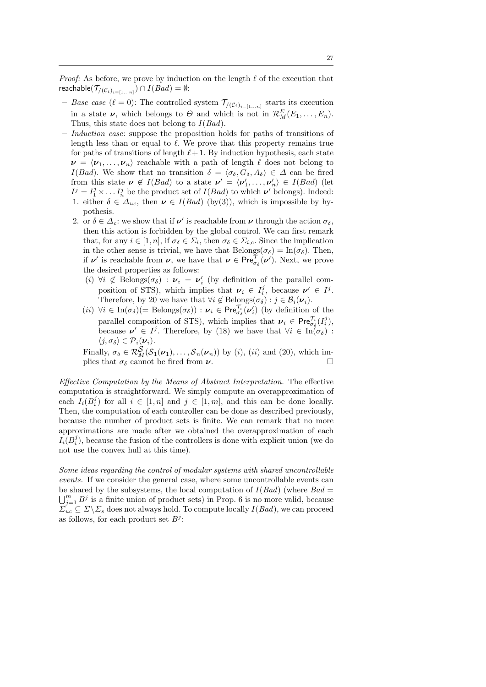*Proof:* As before, we prove by induction on the length  $\ell$  of the execution that reachable $(\mathcal{T}_{/(\mathcal{C}_i)_{i=[1...n]}}) \cap I(Bad) = \emptyset$ :

- Base case  $(\ell = 0)$ : The controlled system  $\mathcal{T}_{/(\mathcal{C}_i)_{i=[1...n]}}$  starts its execution in a state  $\nu$ , which belongs to  $\Theta$  and which is not in  $\mathcal{R}_M^E(E_1,\ldots,E_n)$ . Thus, this state does not belong to  $I(Bad)$ .
- $-$  *Induction case*: suppose the proposition holds for paths of transitions of length less than or equal to  $\ell$ . We prove that this property remains true for paths of transitions of length  $\ell + 1$ . By induction hypothesis, each state  $\nu = \langle \nu_1, \ldots, \nu_n \rangle$  reachable with a path of length  $\ell$  does not belong to I(Bad). We show that no transition  $\delta = \langle \sigma_{\delta}, G_{\delta}, A_{\delta} \rangle \in \Delta$  can be fired from this state  $\nu \notin I(Bad)$  to a state  $\nu' = \langle \nu'_1, \ldots, \nu'_n \rangle \in I(Bad)$  (let  $I^j = I_1^j \times \ldots I_n^j$  be the product set of  $I(Bad)$  to which  $\nu'$  belongs). Indeed: 1. either  $\delta \in \Delta_{uc}$ , then  $\nu \in I(Bad)$  (by(3)), which is impossible by hypothesis.
	- 2. or  $\delta \in \Delta_c$ : we show that if  $\nu'$  is reachable from  $\nu$  through the action  $\sigma_{\delta}$ , then this action is forbidden by the global control. We can first remark that, for any  $i \in [1, n]$ , if  $\sigma_{\delta} \in \Sigma_i$ , then  $\sigma_{\delta} \in \Sigma_{i,c}$ . Since the implication in the other sense is trivial, we have that  $\text{Belongs}(\sigma_{\delta}) = \text{In}(\sigma_{\delta})$ . Then, if  $\nu'$  is reachable from  $\nu$ , we have that  $\nu \in Pre_{\sigma_{\delta}}^{\mathcal{T}}(\nu')$ . Next, we prove the desired properties as follows:
		- (i)  $\forall i \notin \text{Belongs}(\sigma_{\delta}) : \nu_i = \nu'_i$  (by definition of the parallel composition of STS), which implies that  $\nu_i \in I_i^j$ , because  $\nu' \in I^j$ . Therefore, by 20 we have that  $\forall i \notin \text{Belongs}(\sigma_{\delta}) : j \in \mathcal{B}_i(\nu_i)$ .
		- (*ii*)  $\forall i \in \text{In}(\sigma_{\delta})(= \text{Belongs}(\sigma_{\delta})) : \nu_i \in \text{Pre}^{\mathcal{T}_i}_{\sigma_{\delta}}(\nu'_i)$  (by definition of the parallel composition of STS), which implies that  $\nu_i \in Pre_{\sigma_{\delta}}^{\mathcal{T}_i}(I_i^j)$ , because  $\nu' \in I^j$ . Therefore, by (18) we have that  $\forall i \in \text{In}(\sigma_{\delta})$ :  $\langle j, \sigma_{\delta} \rangle \in \mathcal{P}_i(\boldsymbol{\nu}_i).$

Finally,  $\sigma_{\delta} \in \mathcal{R}_{M}^{\mathcal{S}}(\mathcal{S}_1(\nu_1), \ldots, \mathcal{S}_n(\nu_n))$  by (*i*), (*ii*) and (20), which implies that  $\sigma_{\delta}$  cannot be fired from  $\nu$ .

Effective Computation by the Means of Abstract Interpretation. The effective computation is straightforward. We simply compute an overapproximation of each  $I_i(B_i^j)$  for all  $i \in [1, n]$  and  $j \in [1, m]$ , and this can be done locally. Then, the computation of each controller can be done as described previously, because the number of product sets is finite. We can remark that no more approximations are made after we obtained the overapproximation of each  $I_i(B_i^j)$ , because the fusion of the controllers is done with explicit union (we do not use the convex hull at this time).

Some ideas regarding the control of modular systems with shared uncontrollable events. If we consider the general case, where some uncontrollable events can be shared by the subsystems, the local computation of  $I(Bad)$  (where  $Bad = \bigcup_{j=1}^{m} B^j$  is a finite union of product sets) in Prop. 6 is no more valid, because  $\sum_{uc} \subseteq \Sigma \backslash \Sigma_s$  does not always hold. To compute locally  $I(Bad)$ , we can proceed as follows, for each product set  $B^j$ :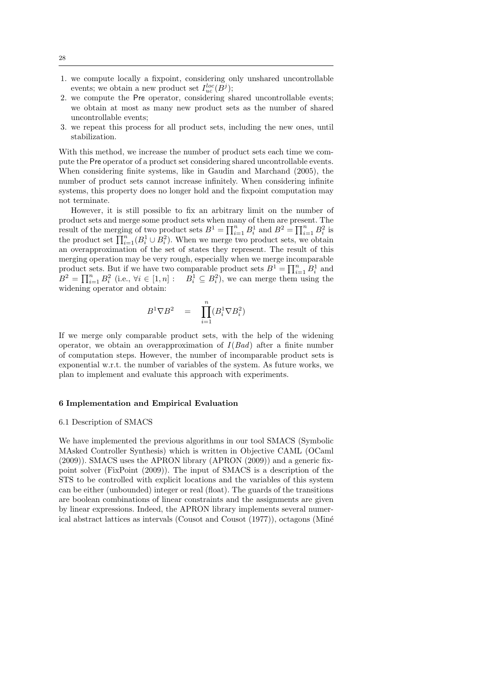- 1. we compute locally a fixpoint, considering only unshared uncontrollable events; we obtain a new product set  $I_{uc}^{loc}(B^j)$ ;
- 2. we compute the Pre operator, considering shared uncontrollable events; we obtain at most as many new product sets as the number of shared uncontrollable events;
- 3. we repeat this process for all product sets, including the new ones, until stabilization.

With this method, we increase the number of product sets each time we compute the Pre operator of a product set considering shared uncontrollable events. When considering finite systems, like in Gaudin and Marchand (2005), the number of product sets cannot increase infinitely. When considering infinite systems, this property does no longer hold and the fixpoint computation may not terminate.

However, it is still possible to fix an arbitrary limit on the number of product sets and merge some product sets when many of them are present. The result of the merging of two product sets  $B^1 = \prod_{i=1}^n B_i^1$  and  $B^2 = \prod_{i=1}^n B_i^2$  is the product set  $\prod_{i=1}^{n} (B_i^1 \cup B_i^2)$ . When we merge two product sets, we obtain an overapproximation of the set of states they represent. The result of this merging operation may be very rough, especially when we merge incomparable product sets. But if we have two comparable product sets  $B^1 = \prod_{i=1}^n B_i^1$  and  $B^2 = \prod_{i=1}^n B_i^2$  (i.e.,  $\forall i \in [1, n] : B_i^1 \subseteq B_i^2$ ), we can merge them using the widening operator and obtain:

$$
B^1 \nabla B^2 \quad = \quad \prod_{i=1}^n (B_i^1 \nabla B_i^2)
$$

If we merge only comparable product sets, with the help of the widening operator, we obtain an overapproximation of  $I(Bad)$  after a finite number of computation steps. However, the number of incomparable product sets is exponential w.r.t. the number of variables of the system. As future works, we plan to implement and evaluate this approach with experiments.

#### 6 Implementation and Empirical Evaluation

# 6.1 Description of SMACS

We have implemented the previous algorithms in our tool SMACS (Symbolic MAsked Controller Synthesis) which is written in Objective CAML (OCaml (2009)). SMACS uses the APRON library (APRON (2009)) and a generic fixpoint solver (FixPoint (2009)). The input of SMACS is a description of the STS to be controlled with explicit locations and the variables of this system can be either (unbounded) integer or real (float). The guards of the transitions are boolean combinations of linear constraints and the assignments are given by linear expressions. Indeed, the APRON library implements several numerical abstract lattices as intervals (Cousot and Cousot  $(1977)$ ), octagons (Miné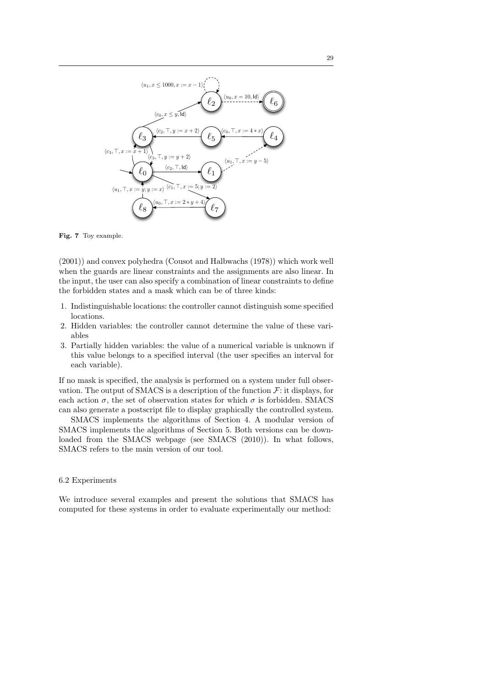

Fig. 7 Toy example.

(2001)) and convex polyhedra (Cousot and Halbwachs (1978)) which work well when the guards are linear constraints and the assignments are also linear. In the input, the user can also specify a combination of linear constraints to define the forbidden states and a mask which can be of three kinds:

- 1. Indistinguishable locations: the controller cannot distinguish some specified locations.
- 2. Hidden variables: the controller cannot determine the value of these variables
- 3. Partially hidden variables: the value of a numerical variable is unknown if this value belongs to a specified interval (the user specifies an interval for each variable).

If no mask is specified, the analysis is performed on a system under full observation. The output of SMACS is a description of the function  $\mathcal{F}$ : it displays, for each action  $\sigma$ , the set of observation states for which  $\sigma$  is forbidden. SMACS can also generate a postscript file to display graphically the controlled system.

SMACS implements the algorithms of Section 4. A modular version of SMACS implements the algorithms of Section 5. Both versions can be downloaded from the SMACS webpage (see SMACS (2010)). In what follows, SMACS refers to the main version of our tool.

# 6.2 Experiments

We introduce several examples and present the solutions that SMACS has computed for these systems in order to evaluate experimentally our method: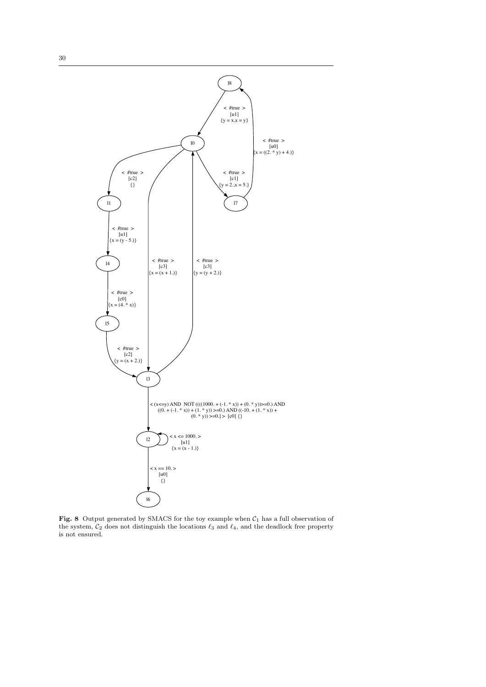

**Fig. 8** Output generated by SMACS for the toy example when  $C_1$  has a full observation of the system,  $C_2$  does not distinguish the locations  $\ell_3$  and  $\ell_4$ , and the deadlock free property is not ensured.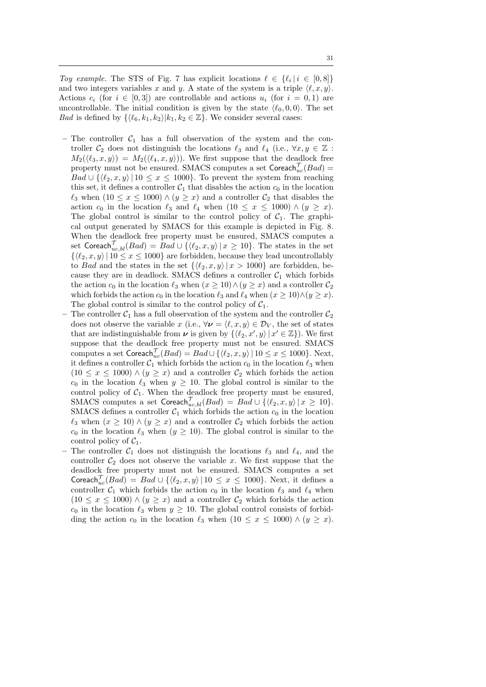Toy example. The STS of Fig. 7 has explicit locations  $\ell \in \{\ell_i | i \in [0,8]\}$ and two integers variables x and y. A state of the system is a triple  $\langle \ell, x, y \rangle$ . Actions  $c_i$  (for  $i \in [0,3]$ ) are controllable and actions  $u_i$  (for  $i = 0,1$ ) are uncontrollable. The initial condition is given by the state  $\langle \ell_0, 0, 0 \rangle$ . The set *Bad* is defined by  $\{\langle \ell_6, k_1, k_2 \rangle | k_1, k_2 \in \mathbb{Z}\}.$  We consider several cases:

- The controller  $C_1$  has a full observation of the system and the controller  $C_2$  does not distinguish the locations  $\ell_3$  and  $\ell_4$  (i.e.,  $\forall x, y \in \mathbb{Z}$ ):  $M_2(\langle \ell_3, x, y \rangle) = M_2(\langle \ell_4, x, y \rangle)$ . We first suppose that the deadlock free property must not be ensured. SMACS computes a set  $\text{Coreach}_{uc}^{\mathcal{T}}(Bad)$  $Bad \cup \{\langle \ell_2, x, y \rangle | 10 \leq x \leq 1000\}.$  To prevent the system from reaching this set, it defines a controller  $C_1$  that disables the action  $c_0$  in the location  $\ell_3$  when  $(10 \le x \le 1000) \wedge (y \ge x)$  and a controller  $C_2$  that disables the action  $c_0$  in the location  $\ell_3$  and  $\ell_4$  when  $(10 \leq x \leq 1000) \wedge (y \geq x)$ . The global control is similar to the control policy of  $C_1$ . The graphical output generated by SMACS for this example is depicted in Fig. 8. When the deadlock free property must be ensured, SMACS computes a set  $\mathsf{Coreach}_{uc,bl}^{\mathcal{T}}(Bad) = Bad \cup \{ \langle \ell_2, x, y \rangle \, | \, x \geq 10 \}.$  The states in the set  $\{\langle \ell_2, x, y \rangle | 10 \le x \le 1000\}$  are forbidden, because they lead uncontrollably to Bad and the states in the set  $\{\langle \ell_2, x, y \rangle | x > 1000\}$  are forbidden, because they are in deadlock. SMACS defines a controller  $C_1$  which forbids the action  $c_0$  in the location  $\ell_3$  when  $(x \geq 10) \wedge (y \geq x)$  and a controller  $C_2$ which forbids the action  $c_0$  in the location  $\ell_3$  and  $\ell_4$  when  $(x \geq 10) \wedge (y \geq x)$ . The global control is similar to the control policy of  $C_1$ .
- The controller  $C_1$  has a full observation of the system and the controller  $C_2$ does not observe the variable x (i.e.,  $\forall \nu = \langle \ell, x, y \rangle \in \mathcal{D}_V$ , the set of states that are indistinguishable from  $\nu$  is given by  $\{ \langle \ell_2, x', y \rangle | x' \in \mathbb{Z} \}$ . We first suppose that the deadlock free property must not be ensured. SMACS computes a set  $\mathsf{Coreach}_{uc}^{\mathcal{T}}(Bad) = Bad \cup \{ \langle \ell_2, x, y \rangle \mid 10 \leq x \leq 1000 \}.$  Next, it defines a controller  $C_1$  which forbids the action  $c_0$  in the location  $\ell_3$  when  $(10 \le x \le 1000) \wedge (y \ge x)$  and a controller  $C_2$  which forbids the action  $c_0$  in the location  $\ell_3$  when  $y \geq 10$ . The global control is similar to the control policy of  $C_1$ . When the deadlock free property must be ensured, SMACS computes a set  $\mathsf{Coreach}_{uc,bl}^{\mathcal{T}}(Bad) = Bad \cup \{ \langle \ell_2, x, y \rangle | x \geq 10 \}.$ SMACS defines a controller  $C_1$  which forbids the action  $c_0$  in the location  $\ell_3$  when  $(x \geq 10) \wedge (y \geq x)$  and a controller  $\mathcal{C}_2$  which forbids the action  $c_0$  in the location  $\ell_3$  when  $(y \geq 10)$ . The global control is similar to the control policy of  $C_1$ .
- The controller  $\mathcal{C}_1$  does not distinguish the locations  $\ell_3$  and  $\ell_4$ , and the controller  $C_2$  does not observe the variable x. We first suppose that the deadlock free property must not be ensured. SMACS computes a set Coreach $_{uc}^{\mathcal{T}}(Bad) = Bad \cup \{ \langle \ell_2, x, y \rangle | 10 \le x \le 1000 \}.$  Next, it defines a controller  $C_1$  which forbids the action  $c_0$  in the location  $\ell_3$  and  $\ell_4$  when  $(10 \le x \le 1000) \wedge (y \ge x)$  and a controller  $C_2$  which forbids the action  $c_0$  in the location  $\ell_3$  when  $y \geq 10$ . The global control consists of forbidding the action  $c_0$  in the location  $\ell_3$  when  $(10 \le x \le 1000) \wedge (y \ge x)$ .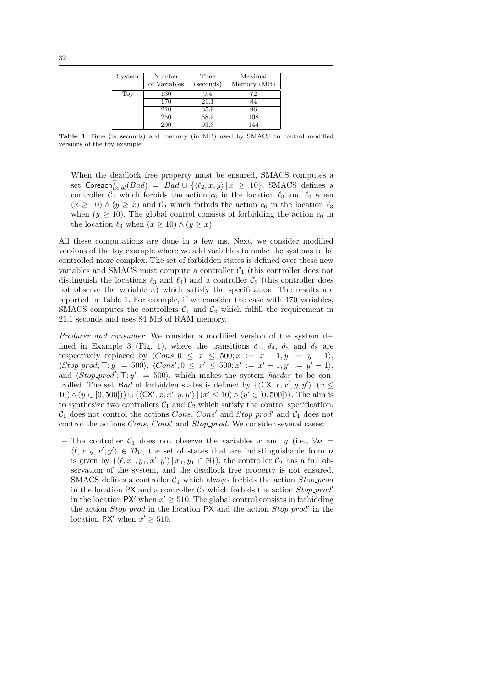| System | Number       | Time      | Maximal     |
|--------|--------------|-----------|-------------|
|        | of Variables | (seconds) | Memory (MB) |
| Toy    | 130          | 9.4       | 72          |
|        | 170          | 21.1      | 84          |
|        | 210          | 35.9      | 96          |
|        | 250          | 58.9      | 108         |
|        | 290          | 93.3      | 144         |

Table 1 Time (in seconds) and memory (in MB) used by SMACS to control modified versions of the toy example.

When the deadlock free property must be ensured, SMACS computes a set  $\mathsf{Coreach}_{uc,bl}^{\mathcal{T}}(Bad) \; = \; Bad \, \cup \, \{\langle \ell_2,x,y \rangle \, | \, x \; \geq \; 10\}.$  SMACS defines a controller  $C_1$  which forbids the action  $c_0$  in the location  $\ell_3$  and  $\ell_4$  when  $(x \ge 10) \wedge (y \ge x)$  and  $C_2$  which forbids the action  $c_0$  in the location  $\ell_3$ when  $(y \ge 10)$ . The global control consists of forbidding the action  $c_0$  in the location  $\ell_3$  when  $(x \geq 10) \wedge (y \geq x)$ .

All these computations are done in a few ms. Next, we consider modified versions of the toy example where we add variables to make the systems to be controlled more complex. The set of forbidden states is defined over these new variables and SMACS must compute a controller  $C_1$  (this controller does not distinguish the locations  $\ell_3$  and  $\ell_4$ ) and a controller  $\mathcal{C}_2$  (this controller does not observe the variable  $x$ ) which satisfy the specification. The results are reported in Table 1. For example, if we consider the case with 170 variables, SMACS computes the controllers  $C_1$  and  $C_2$  which fulfill the requirement in 21,1 seconds and uses 84 MB of RAM memory.

Producer and consumer. We consider a modified version of the system defined in Example 3 (Fig. 1), where the transitions  $\delta_1$ ,  $\delta_4$ ,  $\delta_5$  and  $\delta_8$  are respectively replaced by  $\langle Cons; 0 \leq x \leq 500; x := x - 1, y := y - 1 \rangle$ ,  $\langle Stop\_{prod}; \top; y := 500 \rangle, \ \langle Cons'; 0 \leq x' \leq 500; x' := x' - 1, y' := y' - 1 \rangle,$ and  $\langle Stop\_prod'; \top; y' := 500 \rangle$ , which makes the system *harder* to be controlled. The set *Bad* of forbidden states is defined by  $\{\langle CX, x, x', y, y'\rangle | (x \leq$ 10)  $\land$   $(y \in [0, 500])$  ∪ { $\langle CX', x, x', y, y' \rangle$  |  $(x' \le 10) \land (y' \in [0, 500])$ }. The aim is to synthesize two controllers  $C_1$  and  $C_2$  which satisfy the control specification.  $\mathcal{C}_1$  does not control the actions Cons, Cons' and Stop-prod' and  $\mathcal{C}_1$  does not control the actions Cons, Cons' and Stop-prod. We consider several cases:

– The controller  $C_1$  does not observe the variables x and y (i.e.,  $\forall \nu =$  $\langle \ell, x, y, x', y' \rangle \in \mathcal{D}_V$ , the set of states that are indistinguishable from  $\nu$ is given by  $\{ \langle \ell, x_1, y_1, x', y' \rangle \, | \, x_1, y_1 \in \mathbb{N} \}$ , the controller  $C_2$  has a full observation of the system, and the deadlock free property is not ensured. SMACS defines a controller  $C_1$  which always forbids the action Stop-prod in the location PX and a controller  $C_2$  which forbids the action Stop-prod' in the location  $PX'$  when  $x' \geq 510$ . The global control consists in forbidding the action Stop-prod in the location PX and the action Stop-prod' in the location PX' when  $x' \geq 510$ .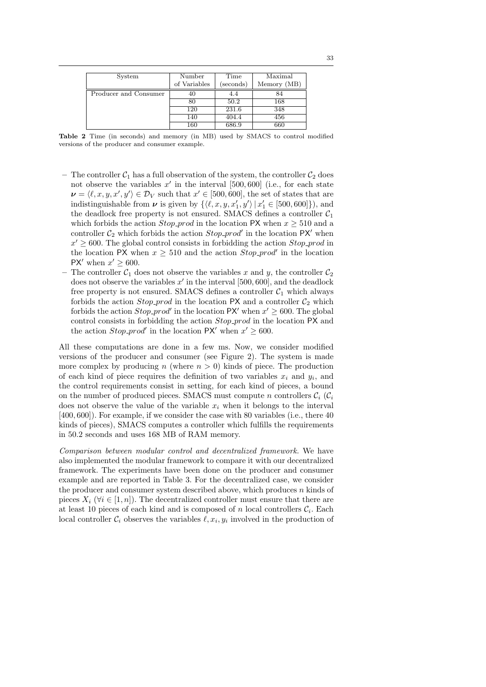| System                | Number       | Time      | Maximal     |
|-----------------------|--------------|-----------|-------------|
|                       | of Variables | (seconds) | Memory (MB) |
| Producer and Consumer |              | 4.4       | 84          |
|                       | 80           | 50.2      | 168         |
|                       | 120          | 231.6     | 348         |
|                       | 140          | 404.4     | 456         |
|                       | 160          | 686.9     | 660         |

Table 2 Time (in seconds) and memory (in MB) used by SMACS to control modified versions of the producer and consumer example.

- The controller  $C_1$  has a full observation of the system, the controller  $C_2$  does not observe the variables  $x'$  in the interval  $[500, 600]$  (i.e., for each state  $\mathbf{v} = \langle \ell, x, y, x', y' \rangle \in \mathcal{D}_V$  such that  $x' \in [500, 600]$ , the set of states that are indistinguishable from  $\nu$  is given by  $\{\langle \ell, x, y, x'_1, y' \rangle | x'_1 \in [500, 600] \}$ , and the deadlock free property is not ensured. SMACS defines a controller  $C_1$ which forbids the action *Stop\_prod* in the location PX when  $x \geq 510$  and a controller  $C_2$  which forbids the action  $Stop\_prod'$  in the location PX' when  $x' \geq 600$ . The global control consists in forbidding the action  $Stop\_prod$  in the location PX when  $x \geq 510$  and the action  $Stop\_prod'$  in the location PX' when  $x' \geq 600$ .
- The controller  $C_1$  does not observe the variables x and y, the controller  $C_2$ does not observe the variables  $x'$  in the interval  $[500, 600]$ , and the deadlock free property is not ensured. SMACS defines a controller  $C_1$  which always forbids the action *Stop prod* in the location PX and a controller  $C_2$  which forbids the action *Stop-prod'* in the location  $PX'$  when  $x' \ge 600$ . The global control consists in forbidding the action Stop prod in the location PX and the action  $Stop\_prod'$  in the location PX' when  $x' \ge 600$ .

All these computations are done in a few ms. Now, we consider modified versions of the producer and consumer (see Figure 2). The system is made more complex by producing n (where  $n > 0$ ) kinds of piece. The production of each kind of piece requires the definition of two variables  $x_i$  and  $y_i$ , and the control requirements consist in setting, for each kind of pieces, a bound on the number of produced pieces. SMACS must compute n controllers  $\mathcal{C}_i$  ( $\mathcal{C}_i$ ) does not observe the value of the variable  $x_i$  when it belongs to the interval [400, 600]). For example, if we consider the case with 80 variables (i.e., there 40 kinds of pieces), SMACS computes a controller which fulfills the requirements in 50.2 seconds and uses 168 MB of RAM memory.

Comparison between modular control and decentralized framework. We have also implemented the modular framework to compare it with our decentralized framework. The experiments have been done on the producer and consumer example and are reported in Table 3. For the decentralized case, we consider the producer and consumer system described above, which produces  $n$  kinds of pieces  $X_i$  ( $\forall i \in [1, n]$ ). The decentralized controller must ensure that there are at least 10 pieces of each kind and is composed of n local controllers  $\mathcal{C}_i$ . Each local controller  $\mathcal{C}_i$  observes the variables  $\ell, x_i, y_i$  involved in the production of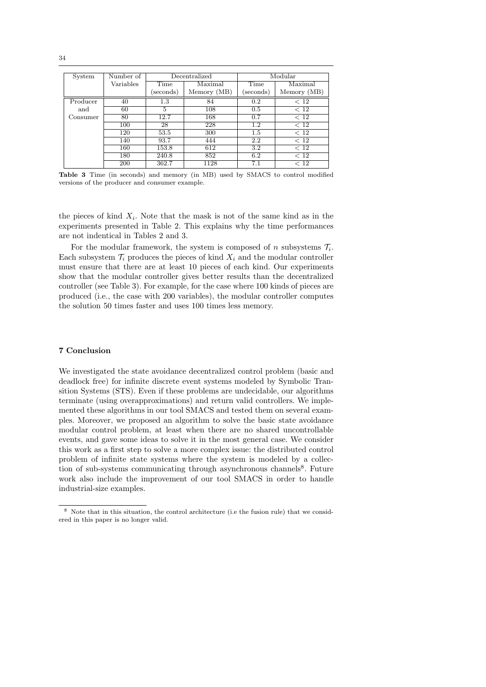| System   | Number of | Decentralized |             | Modular   |             |
|----------|-----------|---------------|-------------|-----------|-------------|
|          | Variables | Time          | Maximal     | Time      | Maximal     |
|          |           | seconds)      | Memory (MB) | (seconds) | Memory (MB) |
| Producer | 40        | 1.3           | 84          | 0.2       | < 12        |
| and      | 60        | 5             | 108         | 0.5       | < 12        |
| Consumer | 80        | 12.7          | 168         | 0.7       | < 12        |
|          | 100       | 28            | 228         | 1.2       | < 12        |
|          | 120       | 53.5          | 300         | $1.5\,$   | < 12        |
|          | 140       | 93.7          | 444         | 2.2       | < 12        |
|          | 160       | 153.8         | 612         | 3.2       | < 12        |
|          | 180       | 240.8         | 852         | 6.2       | < 12        |
|          | 200       | 362.7         | 1128        | 7.1       | < 12        |

Table 3 Time (in seconds) and memory (in MB) used by SMACS to control modified versions of the producer and consumer example.

the pieces of kind  $X_i$ . Note that the mask is not of the same kind as in the experiments presented in Table 2. This explains why the time performances are not indentical in Tables 2 and 3.

For the modular framework, the system is composed of n subsystems  $\mathcal{T}_i$ . Each subsystem  $\mathcal{T}_i$  produces the pieces of kind  $X_i$  and the modular controller must ensure that there are at least 10 pieces of each kind. Our experiments show that the modular controller gives better results than the decentralized controller (see Table 3). For example, for the case where 100 kinds of pieces are produced (i.e., the case with 200 variables), the modular controller computes the solution 50 times faster and uses 100 times less memory.

#### 7 Conclusion

We investigated the state avoidance decentralized control problem (basic and deadlock free) for infinite discrete event systems modeled by Symbolic Transition Systems (STS). Even if these problems are undecidable, our algorithms terminate (using overapproximations) and return valid controllers. We implemented these algorithms in our tool SMACS and tested them on several examples. Moreover, we proposed an algorithm to solve the basic state avoidance modular control problem, at least when there are no shared uncontrollable events, and gave some ideas to solve it in the most general case. We consider this work as a first step to solve a more complex issue: the distributed control problem of infinite state systems where the system is modeled by a collection of sub-systems communicating through asynchronous channels<sup>8</sup>. Future work also include the improvement of our tool SMACS in order to handle industrial-size examples.

<sup>8</sup> Note that in this situation, the control architecture (i.e the fusion rule) that we considered in this paper is no longer valid.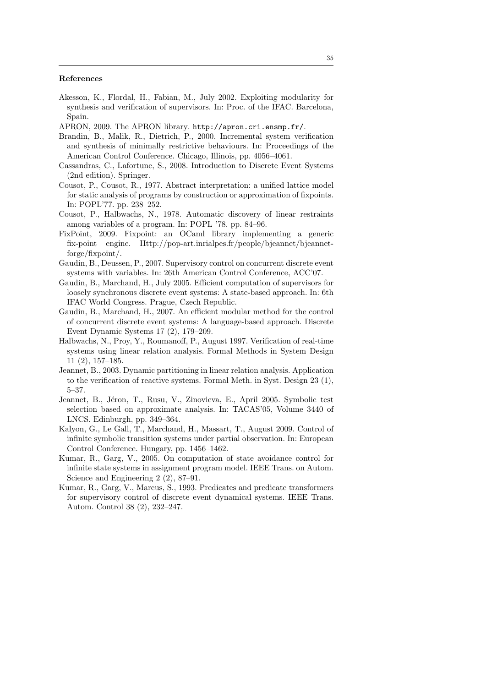## References

- Akesson, K., Flordal, H., Fabian, M., July 2002. Exploiting modularity for synthesis and verification of supervisors. In: Proc. of the IFAC. Barcelona, Spain.
- APRON, 2009. The APRON library. http://apron.cri.ensmp.fr/.
- Brandin, B., Malik, R., Dietrich, P., 2000. Incremental system verification and synthesis of minimally restrictive behaviours. In: Proceedings of the American Control Conference. Chicago, Illinois, pp. 4056–4061.
- Cassandras, C., Lafortune, S., 2008. Introduction to Discrete Event Systems (2nd edition). Springer.
- Cousot, P., Cousot, R., 1977. Abstract interpretation: a unified lattice model for static analysis of programs by construction or approximation of fixpoints. In: POPL'77. pp. 238–252.
- Cousot, P., Halbwachs, N., 1978. Automatic discovery of linear restraints among variables of a program. In: POPL '78. pp. 84–96.
- FixPoint, 2009. Fixpoint: an OCaml library implementing a generic fix-point engine. Http://pop-art.inrialpes.fr/people/bjeannet/bjeannetforge/fixpoint/.
- Gaudin, B., Deussen, P., 2007. Supervisory control on concurrent discrete event systems with variables. In: 26th American Control Conference, ACC'07.
- Gaudin, B., Marchand, H., July 2005. Efficient computation of supervisors for loosely synchronous discrete event systems: A state-based approach. In: 6th IFAC World Congress. Prague, Czech Republic.
- Gaudin, B., Marchand, H., 2007. An efficient modular method for the control of concurrent discrete event systems: A language-based approach. Discrete Event Dynamic Systems 17 (2), 179–209.
- Halbwachs, N., Proy, Y., Roumanoff, P., August 1997. Verification of real-time systems using linear relation analysis. Formal Methods in System Design 11 (2), 157–185.
- Jeannet, B., 2003. Dynamic partitioning in linear relation analysis. Application to the verification of reactive systems. Formal Meth. in Syst. Design 23 (1), 5–37.
- Jeannet, B., Jéron, T., Rusu, V., Zinovieva, E., April 2005. Symbolic test selection based on approximate analysis. In: TACAS'05, Volume 3440 of LNCS. Edinburgh, pp. 349–364.
- Kalyon, G., Le Gall, T., Marchand, H., Massart, T., August 2009. Control of infinite symbolic transition systems under partial observation. In: European Control Conference. Hungary, pp. 1456–1462.
- Kumar, R., Garg, V., 2005. On computation of state avoidance control for infinite state systems in assignment program model. IEEE Trans. on Autom. Science and Engineering 2 (2), 87–91.
- Kumar, R., Garg, V., Marcus, S., 1993. Predicates and predicate transformers for supervisory control of discrete event dynamical systems. IEEE Trans. Autom. Control 38 (2), 232–247.